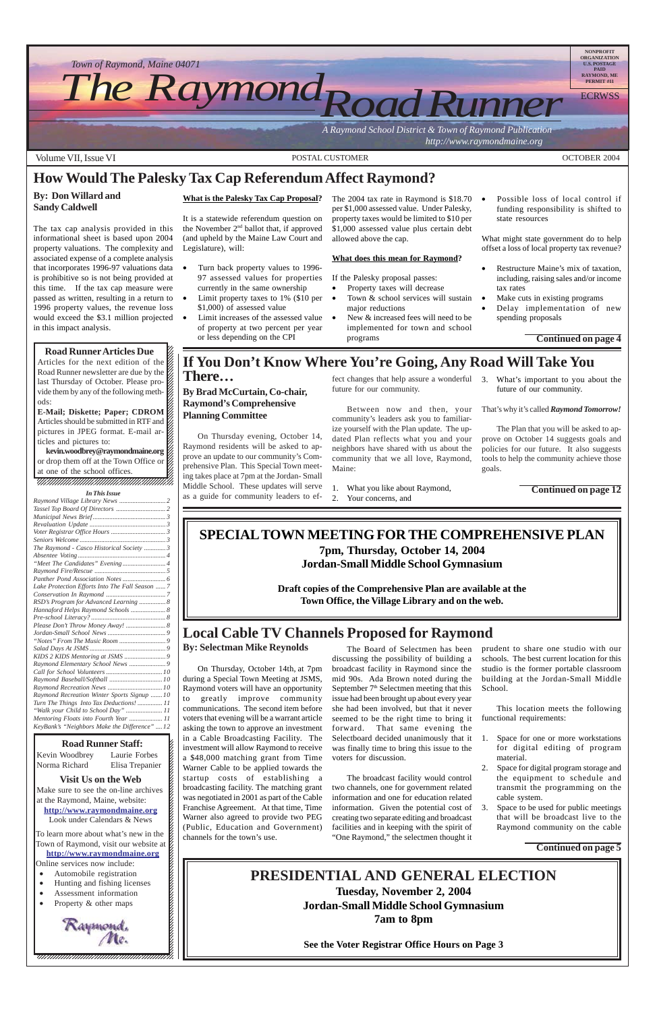12345678901234567890123456789012123456789012345678 Kevin Woodbrey Laurie Forbes K 12345678901234567890123456789012123456789012345678 Norma Richard Elisa Trepanier K

#### 12345678901234567890123456789012123456789012345678 **Solution** Visit Us on the Web

Make sure to see the on-line archives  $\sharp$ at the Raymond, Maine, website:  $\mathcal{E}$  $1$  8  $\blacksquare$ **http://www.raymondmaine.org** Look under Calendars & News  $\mathcal{E}$ 12345678901234567890123456789012123456789012345678

To learn more about what's new in the  $\mathcal{L}$ 12345678901234567890123456789012123456789012345678 Town of Raymond, visit our website at  $\cancel{\epsilon}$ 12345678901234567890123456789012123456789012345678 **http://www.raymondmaine.org** Online services now include:  $\mathcal{E}$ 

12345678901234567890123456789012123456789012345678



Articles for the next edition of the  $\mathbb Z$  $1235678901234567890123456789012345678901234567890123456789012345678901234567890123456789012345678901234567890123456789012345678901234567890123456789012345678901234567890123456789012345678901234567890123456789012345678901$ Road Runner newsletter are due by the  $\mathcal{Z}$ last Thursday of October. Please pro- $\mathbb Z$ 12345678901234567890123456789012123456789012345678 vide them by any of the following meth- $\mathcal{Z}$  $1235678901234587890123456789012345678901234567890123456789012345678901234567890123456789012345678901234567890123456789012345678901234567890123456789012345678901234567890123456789012345678901234567890123456789012345678901$ ods:  $\mathscr{C}_t$ 12345678901234567890123456789012123456789012345678

**E-Mail; Diskette; Paper; CDROM**  $18.8$  8  $18.8$  8  $18.8$  8  $18.8$  8  $18.8$  8  $18.8$  8  $18.8$  8  $18.8$  8  $18.8$  8  $18.8$  8  $18.8$  8  $18.8$  8  $18.8$  8  $18.8$  8  $18.8$  8  $18.8$  8  $18.8$  8  $18.8$  8  $18.8$  8  $18.8$  8  $18.8$  8  $18.8$  8  $18.8$  8  $18.8$  8  $18.8$ Articles should be submitted in RTF and  $\mathscr{G}$ pictures in JPEG format. E-mail ar- $\mathbb Z$  $12$ ticles and pictures to:  $\mathscr{L}$ 

- 12345678901234567890123456789012123456789012345678 • Automobile registration
- $\bullet$  Hunting and fishing licenses  $\sharp$
- Assessment information
- Property  $\&$  other maps 12345678901234567890123456789012123456789012345678

kevin.woodbrey@raymondmaine.org or drop them off at the Town Office or  $\mathscr{L}$  $1235678901234587890123456789012345678901234567890123456789012345678901234567890123456789012345678901234567890123456789012345678901234567890123456789012345678901234567890123456789012345678901234567890123456789012345678901$ at one of the school offices.  $\otimes$ 12345678901234567890123456789012123456789012345678 12345678901234567890123456789012123456789012345678

, 123456789123456789123456789123456789123456789123



- Property taxes will decrease • Town & school services will sustain major reductions • New & increased fees will need to be
- implemented for town and school programs

Possible loss of local control if funding responsibility is shifted to state resources

- Restructure Maine's mix of taxation, including, raising sales and/or income tax rates
- Make cuts in existing programs
	- Delay implementation of new spending proposals

### **SPECIAL TOWN MEETING FOR THE COMPREHENSIVE PLAN 7pm, Thursday, October 14, 2004 Jordan-Small Middle School Gymnasium**

**Draft copies of the Comprehensive Plan are available at the Town Office, the Village Library and on the web.**

# **PRESIDENTIAL AND GENERAL ELECTION**

**Tuesday, November 2, 2004 Jordan-Small Middle School Gymnasium 7am to 8pm**

**See the Voter Registrar Office Hours on Page 3**

**How Would The Palesky Tax Cap Referendum Affect Raymond?**

### **By: Don Willard and Sandy Caldwell**

The tax cap analysis provided in this informational sheet is based upon 2004 property valuations. The complexity and associated expense of a complete analysis that incorporates 1996-97 valuations data is prohibitive so is not being provided at this time. If the tax cap measure were passed as written, resulting in a return to 1996 property values, the revenue loss would exceed the \$3.1 million projected in this impact analysis.

### **Road Runner Articles Due**

12345678901234567890123456789012345678901234567890123456789012345678901234567890123456789012345678901234567890

#### **What is the Palesky Tax Cap Proposal?**

It is a statewide referendum question on the November 2nd ballot that, if approved (and upheld by the Maine Law Court and Legislature), will:

- Turn back property values to 1996- 97 assessed values for properties currently in the same ownership
- Limit property taxes to 1% (\$10 per \$1,000) of assessed value
- Limit increases of the assessed value of property at two percent per year or less depending on the CPI

The 2004 tax rate in Raymond is \$18.70 per \$1,000 assessed value. Under Palesky, property taxes would be limited to \$10 per \$1,000 assessed value plus certain debt allowed above the cap.

#### **What does this mean for Raymond?**

If the Palesky proposal passes:

What might state government do to help offset a loss of local property tax revenue?

**Continued on page 4**

#### *In This Issue*

| In This Issue                                   |  |
|-------------------------------------------------|--|
|                                                 |  |
|                                                 |  |
|                                                 |  |
|                                                 |  |
|                                                 |  |
|                                                 |  |
| The Raymond - Casco Historical Society  3       |  |
|                                                 |  |
|                                                 |  |
|                                                 |  |
|                                                 |  |
| Lake Protection Efforts Into The Fall Season  7 |  |
|                                                 |  |
| RSD's Program for Advanced Learning  8          |  |
| Hannaford Helps Raymond Schools  8              |  |
|                                                 |  |
| Please Don't Throw Money Away!  8               |  |
|                                                 |  |
|                                                 |  |
|                                                 |  |
|                                                 |  |
| Raymond Elementary School News  9               |  |
|                                                 |  |
|                                                 |  |
|                                                 |  |
| Raymond Recreation Winter Sports Signup  10     |  |
| Turn The Things Into Tax Deductions!  11        |  |
| "Walk your Child to School Day"  11             |  |
|                                                 |  |
| KeyBank's "Neighbors Make the Difference"  12   |  |

#### 12345678901234567890123456789012345678901234567890123456789012345678901234567890123456789012345678901234567890

# **Local Cable TV Channels Proposed for Raymond**

#### **By: Selectman Mike Reynolds**

On Thursday, October 14th, at 7pm during a Special Town Meeting at JSMS, Raymond voters will have an opportunity to greatly improve community communications. The second item before voters that evening will be a warrant article asking the town to approve an investment in a Cable Broadcasting Facility. The investment will allow Raymond to receive a \$48,000 matching grant from Time Warner Cable to be applied towards the startup costs of establishing a broadcasting facility. The matching grant was negotiated in 2001 as part of the Cable Franchise Agreement. At that time, Time Warner also agreed to provide two PEG (Public, Education and Government) channels for the town's use.

The Board of Selectmen has been discussing the possibility of building a broadcast facility in Raymond since the mid 90s. Ada Brown noted during the September 7<sup>th</sup> Selectmen meeting that this issue had been brought up about every year she had been involved, but that it never seemed to be the right time to bring it forward. That same evening the Selectboard decided unanimously that it

was finally time to bring this issue to the voters for discussion.

The broadcast facility would control two channels, one for government related information and one for education related information. Given the potential cost of creating two separate editing and broadcast facilities and in keeping with the spirit of "One Raymond," the selectmen thought it

prudent to share one studio with our schools. The best current location for this studio is the former portable classroom building at the Jordan-Small Middle School.

This location meets the following functional requirements:

1. Space for one or more workstations

#### **Road Runner Staff:**

for digital editing of program material.

- 2. Space for digital program storage and the equipment to schedule and transmit the programming on the cable system.
- 3. Space to be used for public meetings that will be broadcast live to the Raymond community on the cable

**Continued on page 5**

### **If You Don't Know Where You're Going, Any Road Will Take You There…**

### **By Brad McCurtain, Co-chair, Raymond's Comprehensive Planning Committee**

On Thursday evening, October 14, Raymond residents will be asked to approve an update to our community's Comprehensive Plan. This Special Town meeting takes place at 7pm at the Jordan- Small Middle School. These updates will serve as a guide for community leaders to effect changes that help assure a wonderful future for our community.

Between now and then, your community's leaders ask you to familiarize yourself with the Plan update. The updated Plan reflects what you and your neighbors have shared with us about the community that we all love, Raymond, Maine:

1. What you like about Raymond,

2. Your concerns, and

3. What's important to you about the future of our community.

That's why it's called *Raymond Tomorrow!*

The Plan that you will be asked to approve on October 14 suggests goals and policies for our future. It also suggests tools to help the community achieve those goals.

**Continued on page 12**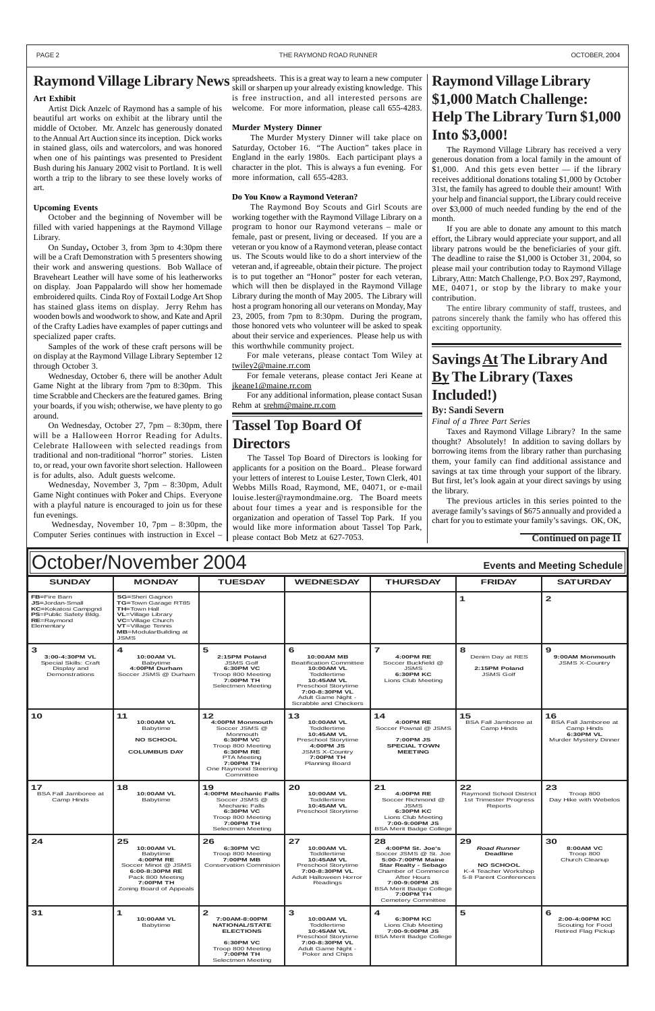### **Raymond Village Library News** spreadsheets. This is a great way to learn a new computer

| October/November 2004<br><b>Events and Meeting Schedule</b>                                                                       |                                                                                                                                                                                              |                                                                                                            |                                                                                                                                                                                                    |                                                                                          |                                                            |                                                                                       |
|-----------------------------------------------------------------------------------------------------------------------------------|----------------------------------------------------------------------------------------------------------------------------------------------------------------------------------------------|------------------------------------------------------------------------------------------------------------|----------------------------------------------------------------------------------------------------------------------------------------------------------------------------------------------------|------------------------------------------------------------------------------------------|------------------------------------------------------------|---------------------------------------------------------------------------------------|
| <b>SUNDAY</b>                                                                                                                     | <b>MONDAY</b>                                                                                                                                                                                | <b>TUESDAY</b>                                                                                             | <b>WEDNESDAY</b>                                                                                                                                                                                   | <b>THURSDAY</b>                                                                          | <b>FRIDAY</b>                                              | <b>SATURDAY</b>                                                                       |
| <b>FB=Fire Barn</b><br>JS=Jordan-Small<br><b>KC=Kokatosi Campgnd</b><br><b>PS=Public Safety Bldg.</b><br>RE=Raymond<br>Elementary | <b>SG=Sheri Gagnon</b><br>TG=Town Garage RT85<br><b>TH=Town Hall</b><br><b>VL</b> =Village Library<br>VC=Village Church<br>VT=Village Tennis<br><b>MB</b> =ModularBuilding at<br><b>JSMS</b> |                                                                                                            |                                                                                                                                                                                                    |                                                                                          |                                                            | $\mathbf{2}$                                                                          |
| 3<br>3:00-4:30PM VL<br>Special Skills: Craft<br>Display and<br>Demonstrations                                                     | 4<br><b>10:00AM VL</b><br>Babytime<br>4:00PM Durham<br>Soccer JSMS @ Durham                                                                                                                  | 5<br>2:15PM Poland<br><b>JSMS Golf</b><br>6:30PM VC<br>Troop 800 Meeting<br>7:00PM TH<br>Selectmen Meeting | 6<br><b>10:00AM MB</b><br><b>Beatification Committee</b><br><b>10:00AM VL</b><br>Toddlertime<br>10:45AM VL<br>Preschool Storytime<br>7:00-8:30PM VL<br>Adult Game Night -<br>Scrabble and Checkers | <b>4:00PM RE</b><br>Soccer Buckfield @<br><b>JSMS</b><br>6:30PM KC<br>Lions Club Meeting | 8<br>Denim Day at RES<br>2:15PM Poland<br><b>JSMS Golf</b> | 9<br>9:00AM Monmouth<br><b>JSMS X-Country</b>                                         |
| 10                                                                                                                                | 11<br><b>10:00AM VL</b><br>Babytime<br><b>NO SCHOOL</b>                                                                                                                                      | 12<br>4:00PM Monmouth<br>Soccer JSMS @<br>Monmouth<br><b>6:30PM VC</b>                                     | 13<br><b>10:00AM VL</b><br>Toddlertime<br>10:45AM VL<br>Preschool Storytime                                                                                                                        | 14<br><b>4:00PM RE</b><br>Soccer Pownal @ JSMS<br>7:00PM JS                              | 15<br><b>BSA Fall Jamboree at</b><br>Camp Hinds            | 16<br><b>BSA Fall Jamboree at</b><br>Camp Hinds<br>6:30PM VL<br>Murder Mystery Dinner |

|                                                 | <b>COLUMBUS DAY</b>                                                                                                                                   | Troop 800 Meeting<br><b>6:30PM RE</b><br><b>PTA Meeting</b><br>7:00PM TH<br>One Raymond Steering<br>Committee                                         | 4:00PM JS<br><b>JSMS X-Country</b><br>7:00PM TH<br><b>Planning Board</b>                                                              | <b>SPECIAL TOWN</b><br><b>MEETING</b>                                                                                                                                                                                                          |                                                                                                                   |                                                                        |
|-------------------------------------------------|-------------------------------------------------------------------------------------------------------------------------------------------------------|-------------------------------------------------------------------------------------------------------------------------------------------------------|---------------------------------------------------------------------------------------------------------------------------------------|------------------------------------------------------------------------------------------------------------------------------------------------------------------------------------------------------------------------------------------------|-------------------------------------------------------------------------------------------------------------------|------------------------------------------------------------------------|
| 17<br><b>BSA Fall Jamboree at</b><br>Camp Hinds | 18<br><b>10:00AM VL</b><br>Babytime                                                                                                                   | 19<br>4:00PM Mechanic Falls<br>Soccer JSMS @<br><b>Mechanic Falls</b><br><b>6:30PM VC</b><br>Troop 800 Meeting<br>7:00PM TH<br>Selectmen Meeting      | 20<br><b>10:00AM VL</b><br>Toddlertime<br>10:45AM VL<br>Preschool Storytime                                                           | 21<br><b>4:00PM RE</b><br>Soccer Richmond @<br><b>JSMS</b><br><b>6:30PM KC</b><br>Lions Club Meeting<br>7:00-9:00PM JS<br><b>BSA Merit Badge College</b>                                                                                       | 22<br>Raymond School District<br>1st Trimester Progress<br>Reports                                                | 23<br>Troop 800<br>Day Hike with Webelos                               |
| 24                                              | 25<br><b>10:00AM VL</b><br>Babytime<br>4:00PM RE<br>Soccer Minot @ JSMS<br>6:00-8:30PM RE<br>Pack 800 Meeting<br>7:00PM TH<br>Zoning Board of Appeals | 26<br><b>6:30PM VC</b><br>Troop 800 Meeting<br><b>7:00PM MB</b><br><b>Conservation Commision</b>                                                      | 27<br><b>10:00AM VL</b><br>Toddlertime<br>10:45AM VL<br>Preschool Storytime<br>7:00-8:30PM VL<br>Adult Halloween Horror<br>Readings   | 28<br>4:00PM St. Joe's<br>Soccer JSMS @ St. Joe<br>5:00-7:00PM Maine<br><b>Star Realty - Sebago</b><br>Chamber of Commerce<br><b>After Hours</b><br>7:00-9:00PM JS<br><b>BSA Merit Badge College</b><br>7:00PM TH<br><b>Cemetery Committee</b> | 29<br><b>Road Runner</b><br><b>Deadline</b><br><b>NO SCHOOL</b><br>K-4 Teacher Workshop<br>5-8 Parent Conferences | 30<br>8:00AM VC<br>Troop 800<br>Church Cleanup                         |
| 31                                              | <b>10:00AM VL</b><br>Babytime                                                                                                                         | $\mathbf{2}$<br>7:00AM-8:00PM<br><b>NATIONAL/STATE</b><br><b>ELECTIONS</b><br><b>6:30PM VC</b><br>Troop 800 Meeting<br>7:00PM TH<br>Selectmen Meeting | 3<br><b>10:00AM VL</b><br>Toddlertime<br>10:45AM VL<br>Preschool Storytime<br>7:00-8:30PM VL<br>Adult Game Night -<br>Poker and Chips | 4<br><b>6:30PM KC</b><br>Lions Club Meeting<br>7:00-9:00PM JS<br><b>BSA Merit Badge College</b>                                                                                                                                                | 5                                                                                                                 | 6<br>2:00-4:00PM KC<br>Scouting for Food<br><b>Retired Flag Pickup</b> |

#### **Art Exhibit**

Artist Dick Anzelc of Raymond has a sample of his beautiful art works on exhibit at the library until the middle of October. Mr. Anzelc has generously donated to the Annual Art Auction since its inception. Dick works in stained glass, oils and watercolors, and was honored when one of his paintings was presented to President Bush during his January 2002 visit to Portland. It is well worth a trip to the library to see these lovely works of art.

#### **Upcoming Events**

October and the beginning of November will be filled with varied happenings at the Raymond Village Library.

On Sunday**,** October 3, from 3pm to 4:30pm there will be a Craft Demonstration with 5 presenters showing their work and answering questions. Bob Wallace of Braveheart Leather will have some of his leatherworks on display. Joan Pappalardo will show her homemade embroidered quilts. Cinda Roy of Foxtail Lodge Art Shop has stained glass items on display. Jerry Rehm has wooden bowls and woodwork to show, and Kate and April of the Crafty Ladies have examples of paper cuttings and specialized paper crafts.

Samples of the work of these craft persons will be on display at the Raymond Village Library September 12 through October 3.

Wednesday, October 6, there will be another Adult Game Night at the library from 7pm to 8:30pm. This time Scrabble and Checkers are the featured games. Bring your boards, if you wish; otherwise, we have plenty to go around.

On Wednesday, October 27, 7pm – 8:30pm, there will be a Halloween Horror Reading for Adults. Celebrate Halloween with selected readings from traditional and non-traditional "horror" stories. Listen to, or read, your own favorite short selection. Halloween is for adults, also. Adult guests welcome.

Wednesday, November 3, 7pm – 8:30pm, Adult Game Night continues with Poker and Chips. Everyone with a playful nature is encouraged to join us for these fun evenings.

 Wednesday, November 10, 7pm – 8:30pm, the Computer Series continues with instruction in Excel –

skill or sharpen up your already existing knowledge. This is free instruction, and all interested persons are welcome. For more information, please call 655-4283.

#### **Murder Mystery Dinner**

 The Murder Mystery Dinner will take place on Saturday, October 16. "The Auction" takes place in England in the early 1980s. Each participant plays a character in the plot. This is always a fun evening. For more information, call 655-4283.

#### **Do You Know a Raymond Veteran?**

 The Raymond Boy Scouts and Girl Scouts are working together with the Raymond Village Library on a program to honor our Raymond veterans – male or female, past or present, living or deceased. If you are a veteran or you know of a Raymond veteran, please contact us. The Scouts would like to do a short interview of the veteran and, if agreeable, obtain their picture. The project is to put together an "Honor" poster for each veteran, which will then be displayed in the Raymond Village Library during the month of May 2005. The Library will host a program honoring all our veterans on Monday, May 23, 2005, from 7pm to 8:30pm. During the program, those honored vets who volunteer will be asked to speak about their service and experiences. Please help us with this worthwhile community project.

For male veterans, please contact Tom Wiley at twiley2@maine.rr.com

For female veterans, please contact Jeri Keane at jkeane1@maine.rr.com

For any additional information, please contact Susan Rehm at srehm@maine.rr.com

# **Raymond Village Library \$1,000 Match Challenge: Help The Library Turn \$1,000 Into \$3,000!**

The Raymond Village Library has received a very generous donation from a local family in the amount of  $$1,000$ . And this gets even better — if the library receives additional donations totaling \$1,000 by October 31st, the family has agreed to double their amount! With your help and financial support, the Library could receive over \$3,000 of much needed funding by the end of the month.

If you are able to donate any amount to this match effort, the Library would appreciate your support, and all library patrons would be the beneficiaries of your gift. The deadline to raise the \$1,000 is October 31, 2004, so please mail your contribution today to Raymond Village Library, Attn: Match Challenge, P.O. Box 297, Raymond, ME, 04071, or stop by the library to make your contribution.

The entire library community of staff, trustees, and patrons sincerely thank the family who has offered this exciting opportunity.

## **Savings At The Library And By The Library (Taxes Included!)**

#### **By: Sandi Severn**

*Final of a Three Part Series*

Taxes and Raymond Village Library? In the same thought? Absolutely! In addition to saving dollars by borrowing items from the library rather than purchasing them, your family can find additional assistance and savings at tax time through your support of the library. But first, let's look again at your direct savings by using the library.

The previous articles in this series pointed to the average family's savings of \$675 annually and provided a chart for you to estimate your family's savings. OK, OK,

#### **Continued on page 11**

### **Tassel Top Board Of Directors**

The Tassel Top Board of Directors is looking for applicants for a position on the Board.. Please forward your letters of interest to Louise Lester, Town Clerk, 401 Webbs Mills Road, Raymond, ME, 04071, or e-mail louise.lester@raymondmaine.org. The Board meets about four times a year and is responsible for the organization and operation of Tassel Top Park. If you would like more information about Tassel Top Park, please contact Bob Metz at 627-7053.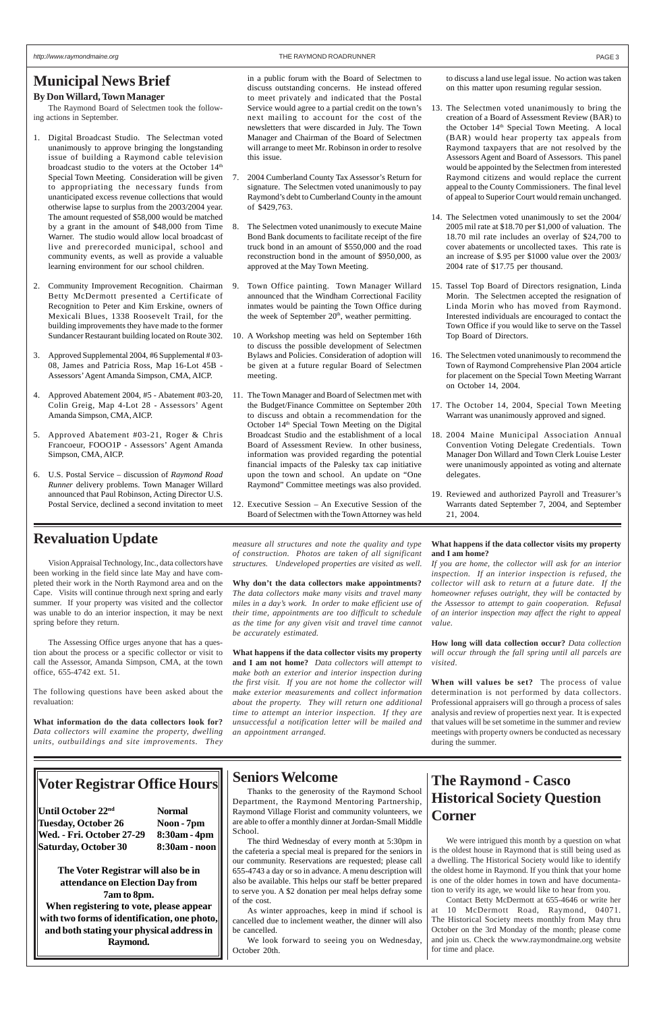### **Municipal News Brief**

#### **By Don Willard, Town Manager**

The Raymond Board of Selectmen took the following actions in September.

- 1. Digital Broadcast Studio. The Selectman voted unanimously to approve bringing the longstanding issue of building a Raymond cable television broadcast studio to the voters at the October 14<sup>th</sup> Special Town Meeting. Consideration will be given to appropriating the necessary funds from unanticipated excess revenue collections that would otherwise lapse to surplus from the 2003/2004 year. The amount requested of \$58,000 would be matched by a grant in the amount of \$48,000 from Time Warner. The studio would allow local broadcast of live and prerecorded municipal, school and community events, as well as provide a valuable learning environment for our school children.
- 2. Community Improvement Recognition. Chairman Betty McDermott presented a Certificate of Recognition to Peter and Kim Erskine, owners of Mexicali Blues, 1338 Roosevelt Trail, for the building improvements they have made to the former Sundancer Restaurant building located on Route 302.
- 3. Approved Supplemental 2004, #6 Supplemental # 03- 08, James and Patricia Ross, Map 16-Lot 45B - Assessors' Agent Amanda Simpson, CMA, AICP.
- 4. Approved Abatement 2004, #5 Abatement #03-20, Colin Greig, Map 4-Lot 28 - Assessors' Agent Amanda Simpson, CMA, AICP.
- 5. Approved Abatement #03-21, Roger & Chris Francoeur, FOOO1P - Assessors' Agent Amanda Simpson, CMA, AICP.
- 6. U.S. Postal Service discussion of *Raymond Road Runner* delivery problems. Town Manager Willard announced that Paul Robinson, Acting Director U.S. Postal Service, declined a second invitation to meet

in a public forum with the Board of Selectmen to discuss outstanding concerns. He instead offered to meet privately and indicated that the Postal Service would agree to a partial credit on the town's next mailing to account for the cost of the newsletters that were discarded in July. The Town Manager and Chairman of the Board of Selectmen will arrange to meet Mr. Robinson in order to resolve this issue.

- 7. 2004 Cumberland County Tax Assessor's Return for signature. The Selectmen voted unanimously to pay Raymond's debt to Cumberland County in the amount of \$429,763.
- 8. The Selectmen voted unanimously to execute Maine Bond Bank documents to facilitate receipt of the fire truck bond in an amount of \$550,000 and the road reconstruction bond in the amount of \$950,000, as approved at the May Town Meeting.
- Town Office painting. Town Manager Willard announced that the Windham Correctional Facility inmates would be painting the Town Office during the week of September  $20<sup>th</sup>$ , weather permitting.
- 10. A Workshop meeting was held on September 16th to discuss the possible development of Selectmen Bylaws and Policies. Consideration of adoption will be given at a future regular Board of Selectmen meeting.
- 11. The Town Manager and Board of Selectmen met with the Budget/Finance Committee on September 20th to discuss and obtain a recommendation for the October 14<sup>th</sup> Special Town Meeting on the Digital Broadcast Studio and the establishment of a local Board of Assessment Review. In other business, information was provided regarding the potential financial impacts of the Palesky tax cap initiative upon the town and school. An update on "One Raymond" Committee meetings was also provided.
- 12. Executive Session An Executive Session of the Board of Selectmen with the Town Attorney was held

to discuss a land use legal issue. No action was taken on this matter upon resuming regular session.

- 13. The Selectmen voted unanimously to bring the creation of a Board of Assessment Review (BAR) to the October 14<sup>th</sup> Special Town Meeting. A local (BAR) would hear property tax appeals from Raymond taxpayers that are not resolved by the Assessors Agent and Board of Assessors. This panel would be appointed by the Selectmen from interested Raymond citizens and would replace the current appeal to the County Commissioners. The final level of appeal to Superior Court would remain unchanged.
- 14. The Selectmen voted unanimously to set the 2004/ 2005 mil rate at \$18.70 per \$1,000 of valuation. The 18.70 mil rate includes an overlay of \$24,700 to cover abatements or uncollected taxes. This rate is an increase of \$.95 per \$1000 value over the 2003/ 2004 rate of \$17.75 per thousand.
- 15. Tassel Top Board of Directors resignation, Linda Morin. The Selectmen accepted the resignation of Linda Morin who has moved from Raymond. Interested individuals are encouraged to contact the Town Office if you would like to serve on the Tassel Top Board of Directors.
- 16. The Selectmen voted unanimously to recommend the Town of Raymond Comprehensive Plan 2004 article for placement on the Special Town Meeting Warrant on October 14, 2004.
- 17. The October 14, 2004, Special Town Meeting Warrant was unanimously approved and signed.
- 18. 2004 Maine Municipal Association Annual Convention Voting Delegate Credentials. Town Manager Don Willard and Town Clerk Louise Lester were unanimously appointed as voting and alternate delegates.
- 19. Reviewed and authorized Payroll and Treasurer's Warrants dated September 7, 2004, and September 21, 2004.

### **Revaluation Update**

Vision Appraisal Technology, Inc., data collectors have been working in the field since late May and have completed their work in the North Raymond area and on the Cape. Visits will continue through next spring and early summer. If your property was visited and the collector was unable to do an interior inspection, it may be next spring before they return.

The Assessing Office urges anyone that has a question about the process or a specific collector or visit to call the Assessor, Amanda Simpson, CMA, at the town office, 655-4742 ext. 51.

The following questions have been asked about the revaluation:

**What information do the data collectors look for?** *Data collectors will examine the property, dwelling units, outbuildings and site improvements. They*

*measure all structures and note the quality and type of construction. Photos are taken of all significant structures. Undeveloped properties are visited as well.*

**Why don't the data collectors make appointments?** *The data collectors make many visits and travel many miles in a day's work. In order to make efficient use of their time, appointments are too difficult to schedule as the time for any given visit and travel time cannot be accurately estimated.*

**What happens if the data collector visits my property and I am not home?** *Data collectors will attempt to make both an exterior and interior inspection during the first visit. If you are not home the collector will make exterior measurements and collect information about the property. They will return one additional time to attempt an interior inspection. If they are unsuccessful a notification letter will be mailed and an appointment arranged.*

#### **What happens if the data collector visits my property and I am home?**

*If you are home, the collector will ask for an interior inspection. If an interior inspection is refused, the collector will ask to return at a future date. If the homeowner refuses outright, they will be contacted by the Assessor to attempt to gain cooperation. Refusal of an interior inspection may affect the right to appeal value.*

**How long will data collection occur?** *Data collection will occur through the fall spring until all parcels are visited.*

**When will values be set?** The process of value determination is not performed by data collectors. Professional appraisers will go through a process of sales analysis and review of properties next year. It is expected that values will be set sometime in the summer and review meetings with property owners be conducted as necessary during the summer.

# **Voter Registrar Office Hours**

| Until October 22nd        | <b>Normal</b> |
|---------------------------|---------------|
| Tuesday, October 26       | Noon-'        |
| Wed. - Fri. October 27-29 | 8:30am        |
| Saturday, October 30      | 8:30am        |

**pon - 7pm Wed. - Fri. October 27-29 8:30am - 4pm 30am - noon** 

**The Voter Registrar will also be in attendance on Election Day from 7am to 8pm. When registering to vote, please appear with two forms of identification, one photo, and both stating your physical address in Raymond.**

### **Seniors Welcome**

Thanks to the generosity of the Raymond School Department, the Raymond Mentoring Partnership, Raymond Village Florist and community volunteers, we are able to offer a monthly dinner at Jordan-Small Middle School.

The third Wednesday of every month at 5:30pm in the cafeteria a special meal is prepared for the seniors in our community. Reservations are requested; please call 655-4743 a day or so in advance. A menu description will also be available. This helps our staff be better prepared to serve you. A \$2 donation per meal helps defray some of the cost.

As winter approaches, keep in mind if school is cancelled due to inclement weather, the dinner will also be cancelled.

We look forward to seeing you on Wednesday, October 20th.

# **The Raymond - Casco Historical Society Question Corner**

We were intrigued this month by a question on what is the oldest house in Raymond that is still being used as a dwelling. The Historical Society would like to identify the oldest home in Raymond. If you think that your home is one of the older homes in town and have documentation to verify its age, we would like to hear from you.

Contact Betty McDermott at 655-4646 or write her at 10 McDermott Road, Raymond, 04071. The Historical Society meets monthly from May thru October on the 3rd Monday of the month; please come and join us. Check the www.raymondmaine.org website for time and place.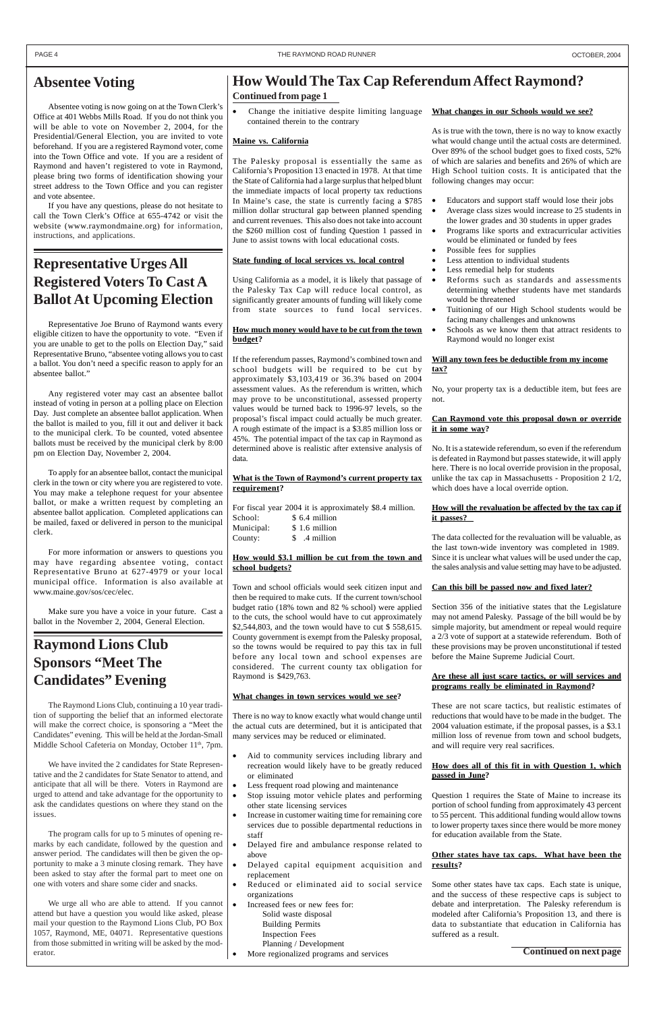### **Absentee Voting**

Absentee voting is now going on at the Town Clerk's Office at 401 Webbs Mills Road. If you do not think you will be able to vote on November 2, 2004, for the Presidential/General Election, you are invited to vote beforehand. If you are a registered Raymond voter, come into the Town Office and vote. If you are a resident of Raymond and haven't registered to vote in Raymond, please bring two forms of identification showing your street address to the Town Office and you can register and vote absentee.

If you have any questions, please do not hesitate to call the Town Clerk's Office at 655-4742 or visit the website (www.raymondmaine.org) for information, instructions, and applications.

# **Representative Urges All Registered Voters To Cast A Ballot At Upcoming Election**

Representative Joe Bruno of Raymond wants every eligible citizen to have the opportunity to vote. "Even if you are unable to get to the polls on Election Day," said Representative Bruno, "absentee voting allows you to cast a ballot. You don't need a specific reason to apply for an absentee ballot."

The Raymond Lions Club, continuing a 10 year tradition of supporting the belief that an informed electorate will make the correct choice, is sponsoring a "Meet the Candidates" evening. This will be held at the Jordan-Small Middle School Cafeteria on Monday, October 11<sup>th</sup>, 7pm.

Any registered voter may cast an absentee ballot instead of voting in person at a polling place on Election Day. Just complete an absentee ballot application. When the ballot is mailed to you, fill it out and deliver it back to the municipal clerk. To be counted, voted absentee ballots must be received by the municipal clerk by 8:00 pm on Election Day, November 2, 2004.

To apply for an absentee ballot, contact the municipal clerk in the town or city where you are registered to vote. You may make a telephone request for your absentee ballot, or make a written request by completing an absentee ballot application. Completed applications can be mailed, faxed or delivered in person to the municipal clerk.

Change the initiative despite limiting language contained therein to the contrary

For more information or answers to questions you may have regarding absentee voting, contact Representative Bruno at 627-4979 or your local municipal office. Information is also available at www.maine.gov/sos/cec/elec.

Make sure you have a voice in your future. Cast a ballot in the November 2, 2004, General Election.

# **Raymond Lions Club Sponsors "Meet The Candidates" Evening**

We have invited the 2 candidates for State Representative and the 2 candidates for State Senator to attend, and anticipate that all will be there. Voters in Raymond are urged to attend and take advantage for the opportunity to ask the candidates questions on where they stand on the issues.

The program calls for up to 5 minutes of opening remarks by each candidate, followed by the question and answer period. The candidates will then be given the opportunity to make a 3 minute closing remark. They have been asked to stay after the formal part to meet one on one with voters and share some cider and snacks.

Aid to community services including library and recreation would likely have to be greatly reduced or eliminated

We urge all who are able to attend. If you cannot attend but have a question you would like asked, please mail your question to the Raymond Lions Club, PO Box 1057, Raymond, ME, 04071. Representative questions from those submitted in writing will be asked by the moderator.

### **Maine vs. California**

The Palesky proposal is essentially the same as California's Proposition 13 enacted in 1978. At that time the State of California had a large surplus that helped blunt the immediate impacts of local property tax reductions In Maine's case, the state is currently facing a \$785 million dollar structural gap between planned spending and current revenues. This also does not take into account the \$260 million cost of funding Question 1 passed in June to assist towns with local educational costs.

#### **State funding of local services vs. local control**

Using California as a model, it is likely that passage of the Palesky Tax Cap will reduce local control, as significantly greater amounts of funding will likely come from state sources to fund local services.

#### **How much money would have to be cut from the town budget?**

If the referendum passes, Raymond's combined town and school budgets will be required to be cut by approximately \$3,103,419 or 36.3% based on 2004 assessment values. As the referendum is written, which may prove to be unconstitutional, assessed property values would be turned back to 1996-97 levels, so the proposal's fiscal impact could actually be much greater. A rough estimate of the impact is a \$3.85 million loss or 45%. The potential impact of the tax cap in Raymond as determined above is realistic after extensive analysis of data.

#### **What is the Town of Raymond's current property tax requirement?**

|            | For fiscal year 2004 it is approximately \$8.4 million. |
|------------|---------------------------------------------------------|
| School:    | \$ 6.4 million                                          |
| Municipal: | \$1.6 million                                           |
| County:    | \$ .4 million                                           |

#### **How would \$3.1 million be cut from the town and school budgets?**

Town and school officials would seek citizen input and then be required to make cuts. If the current town/school budget ratio (18% town and 82 % school) were applied to the cuts, the school would have to cut approximately \$2,544,803, and the town would have to cut \$ 558,615. County government is exempt from the Palesky proposal, so the towns would be required to pay this tax in full before any local town and school expenses are considered. The current county tax obligation for Raymond is \$429,763.

#### **What changes in town services would we see?**

There is no way to know exactly what would change until the actual cuts are determined, but it is anticipated that many services may be reduced or eliminated.

- Less frequent road plowing and maintenance
- Stop issuing motor vehicle plates and performing other state licensing services
- Increase in customer waiting time for remaining core services due to possible departmental reductions in staff
- Delayed fire and ambulance response related to above
- Delayed capital equipment acquisition and replacement
- Reduced or eliminated aid to social service organizations
- Increased fees or new fees for: Solid waste disposal Building Permits Inspection Fees Planning / Development
- More regionalized programs and services

#### **What changes in our Schools would we see?**

As is true with the town, there is no way to know exactly what would change until the actual costs are determined. Over 89% of the school budget goes to fixed costs, 52% of which are salaries and benefits and 26% of which are High School tuition costs. It is anticipated that the following changes may occur:

- Educators and support staff would lose their jobs
- Average class sizes would increase to 25 students in the lower grades and 30 students in upper grades
- Programs like sports and extracurricular activities would be eliminated or funded by fees
- Possible fees for supplies
- Less attention to individual students
- Less remedial help for students
- Reforms such as standards and assessments determining whether students have met standards would be threatened
- Tuitioning of our High School students would be facing many challenges and unknowns
- Schools as we know them that attract residents to Raymond would no longer exist

#### **Will any town fees be deductible from my income tax?**

No, your property tax is a deductible item, but fees are not.

#### **Can Raymond vote this proposal down or override it in some way?**

No. It is a statewide referendum, so even if the referendum is defeated in Raymond but passes statewide, it will apply here. There is no local override provision in the proposal, unlike the tax cap in Massachusetts - Proposition 2 1/2, which does have a local override option.

#### **How will the revaluation be affected by the tax cap if it passes?**

The data collected for the revaluation will be valuable, as the last town-wide inventory was completed in 1989. Since it is unclear what values will be used under the cap, the sales analysis and value setting may have to be adjusted.

#### **Can this bill be passed now and fixed later?**

Section 356 of the initiative states that the Legislature may not amend Palesky. Passage of the bill would be by simple majority, but amendment or repeal would require a 2/3 vote of support at a statewide referendum. Both of these provisions may be proven unconstitutional if tested before the Maine Supreme Judicial Court.

#### **Are these all just scare tactics, or will services and programs really be eliminated in Raymond?**

These are not scare tactics, but realistic estimates of reductions that would have to be made in the budget. The 2004 valuation estimate, if the proposal passes, is a \$3.1 million loss of revenue from town and school budgets, and will require very real sacrifices.

#### **How does all of this fit in with Question 1, which passed in June?**

Question 1 requires the State of Maine to increase its portion of school funding from approximately 43 percent to 55 percent. This additional funding would allow towns to lower property taxes since there would be more money for education available from the State.

#### **Other states have tax caps. What have been the results?**

Some other states have tax caps. Each state is unique, and the success of these respective caps is subject to debate and interpretation. The Palesky referendum is modeled after California's Proposition 13, and there is data to substantiate that education in California has suffered as a result.

# **How Would The Tax Cap Referendum Affect Raymond?**

**Continued from page 1**

**Continued on next page**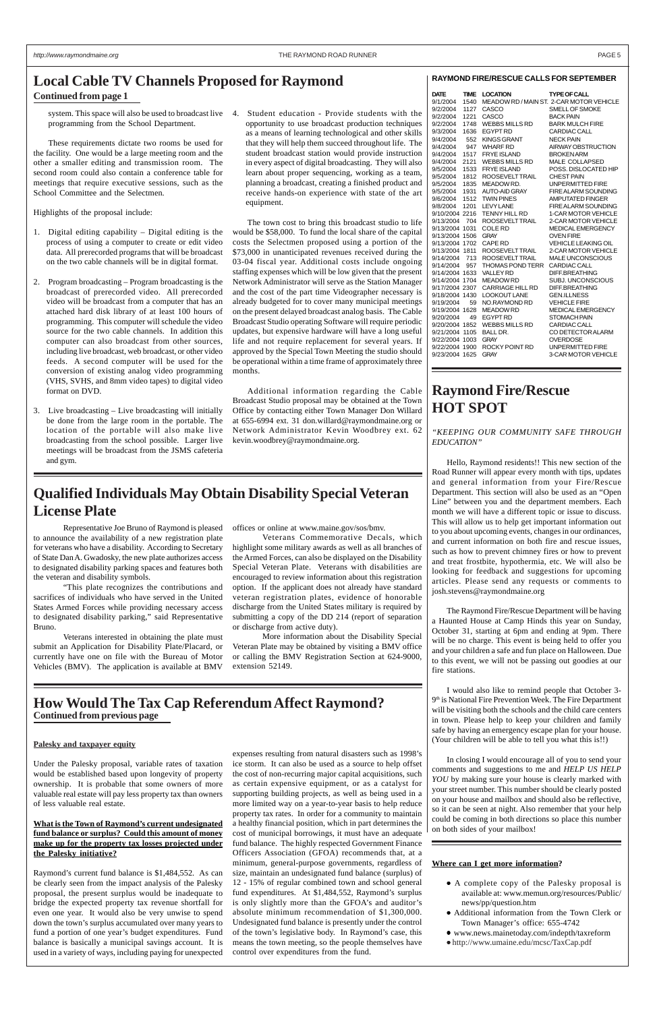system. This space will also be used to broadcast live 4. Student education - Provide students with the programming from the School Department.

These requirements dictate two rooms be used for the facility. One would be a large meeting room and the other a smaller editing and transmission room. The second room could also contain a conference table for meetings that require executive sessions, such as the School Committee and the Selectmen.

Highlights of the proposal include:

- 1. Digital editing capability Digital editing is the process of using a computer to create or edit video data. All prerecorded programs that will be broadcast on the two cable channels will be in digital format.
- 2. Program broadcasting Program broadcasting is the broadcast of prerecorded video. All prerecorded video will be broadcast from a computer that has an attached hard disk library of at least 100 hours of programming. This computer will schedule the video source for the two cable channels. In addition this computer can also broadcast from other sources, including live broadcast, web broadcast, or other video feeds. A second computer will be used for the conversion of existing analog video programming (VHS, SVHS, and 8mm video tapes) to digital video format on DVD.
- 3. Live broadcasting Live broadcasting will initially be done from the large room in the portable. The location of the portable will also make live broadcasting from the school possible. Larger live meetings will be broadcast from the JSMS cafeteria and gym.

opportunity to use broadcast production techniques as a means of learning technological and other skills that they will help them succeed throughout life. The student broadcast station would provide instruction in every aspect of digital broadcasting. They will also learn about proper sequencing, working as a team, planning a broadcast, creating a finished product and receive hands-on experience with state of the art equipment.

The town cost to bring this broadcast studio to life would be \$58,000. To fund the local share of the capital costs the Selectmen proposed using a portion of the \$73,000 in unanticipated revenues received during the 03-04 fiscal year. Additional costs include ongoing staffing expenses which will be low given that the present Network Administrator will serve as the Station Manager and the cost of the part time Videographer necessary is already budgeted for to cover many municipal meetings on the present delayed broadcast analog basis. The Cable Broadcast Studio operating Software will require periodic updates, but expensive hardware will have a long useful life and not require replacement for several years. If approved by the Special Town Meeting the studio should be operational within a time frame of approximately three months.

Additional information regarding the Cable Broadcast Studio proposal may be obtained at the Town Office by contacting either Town Manager Don Willard at 655-6994 ext. 31 don.willard@raymondmaine.org or Network Administrator Kevin Woodbrey ext. 62 kevin.woodbrey@raymondmaine.org.

#### **RAYMOND FIRE/RESCUE CALLS FOR SEPTEMBER**

| <b>DATE</b>    | <b>TIME</b> | <b>LOCATION</b>         | <b>TYPE OF CALL</b>                      |
|----------------|-------------|-------------------------|------------------------------------------|
| 9/1/2004       | 1540        |                         | MEADOW RD / MAIN ST. 2-CAR MOTOR VEHICLE |
| 9/2/2004       | 1127        | CASCO                   | SMELL OF SMOKE                           |
| 9/2/2004       | 1221        | CASCO                   | <b>BACK PAIN</b>                         |
| 9/2/2004       | 1748        | <b>WEBBS MILLS RD</b>   | <b>BARK MULCH FIRE</b>                   |
| 9/3/2004       | 1636        | <b>EGYPT RD</b>         | <b>CARDIAC CALL</b>                      |
| 9/4/2004       | 552         | <b>KINGS GRANT</b>      | <b>NECK PAIN</b>                         |
| 9/4/2004       | 947         | <b>WHARF RD</b>         | <b>AIRWAY OBSTRUCTION</b>                |
| 9/4/2004       | 1517        | <b>FRYE ISLAND</b>      | <b>BROKEN ARM</b>                        |
| 9/4/2004       | 2121        | <b>WEBBS MILLS RD</b>   | MALE COLLAPSED                           |
| 9/5/2004       | 1533        | <b>FRYE ISLAND</b>      | POSS, DISLOCATED HIP                     |
| 9/5/2004       | 1812        | ROOSEVELT TRAIL         | <b>CHEST PAIN</b>                        |
| 9/5/2004       | 1835        | MEADOW RD.              | <b>UNPERMITTED FIRE</b>                  |
| 9/5/2004       | 1931        | <b>AUTO-AID GRAY</b>    | <b>FIRE ALARM SOUNDING</b>               |
| 9/6/2004       | 1512        | <b>TWIN PINES</b>       | <b>AMPUTATED FINGER</b>                  |
| 9/8/2004       | 1201        | <b>LEVY LANE</b>        | <b>FIRE ALARM SOUNDING</b>               |
| 9/10/2004 2216 |             | TENNY HILL RD           | <b>1-CAR MOTOR VEHICLE</b>               |
| 9/13/2004      | 704         | ROOSEVELT TRAIL         | 2-CAR MOTOR VEHICLE                      |
| 9/13/2004      | 1031        | <b>COLE RD</b>          | <b>MEDICAL EMERGENCY</b>                 |
| 9/13/2004      | 1506        | <b>GRAY</b>             | <b>OVEN FIRE</b>                         |
| 9/13/2004      | 1702        | CAPF RD                 | <b>VEHICLE LEAKING OIL</b>               |
| 9/13/2004      | 1811        | ROOSEVELT TRAIL         | 2-CAR MOTOR VEHICLE                      |
| 9/14/2004      | 713         | ROOSEVELT TRAIL         | <b>MALE UNCONSCIOUS</b>                  |
| 9/14/2004      | 957         | <b>THOMAS POND TERR</b> | <b>CARDIAC CALL</b>                      |
| 9/14/2004 1633 |             | <b>VALLEY RD</b>        | <b>DIFF.BREATHING</b>                    |
| 9/14/2004      | 1704        | <b>MEADOW RD</b>        | <b>SUBJ. UNCONSCIOUS</b>                 |
| 9/17/2004 2307 |             | <b>CARRIAGE HILL RD</b> | <b>DIFF.BREATHING</b>                    |
| 9/18/2004 1430 |             | <b>LOOKOUT LANE</b>     | <b>GEN.ILLNESS</b>                       |
| 9/19/2004      | 59          | NO.RAYMOND RD           | <b>VEHICLE FIRE</b>                      |
| 9/19/2004      | 1628        | <b>MEADOW RD</b>        | <b>MEDICAL EMERGENCY</b>                 |
| 9/20/2004      | 49          | <b>EGYPT RD</b>         | <b>STOMACH PAIN</b>                      |
| 9/20/2004      | 1852        | <b>WEBBS MILLS RD</b>   | <b>CARDIAC CALL</b>                      |
| 9/21/2004      | 1105        | <b>BALL DR.</b>         | CO DETECTOR ALARM                        |
| 9/22/2004      | 1003        | <b>GRAY</b>             | <b>OVERDOSE</b>                          |
| 9/22/2004      | 1900        | ROCKY POINT RD          | <b>UNPERMITTED FIRE</b>                  |
| 9/23/2004 1625 |             | <b>GRAY</b>             | 3-CAR MOTOR VEHICLE                      |
|                |             |                         |                                          |

### **Raymond Fire/Rescue HOT SPOT**

#### *"KEEPING OUR COMMUNITY SAFE THROUGH EDUCATION"*

Hello, Raymond residents!! This new section of the Road Runner will appear every month with tips, updates and general information from your Fire/Rescue Department. This section will also be used as an "Open Line" between you and the department members. Each month we will have a different topic or issue to discuss. This will allow us to help get important information out to you about upcoming events, changes in our ordinances, and current information on both fire and rescue issues, such as how to prevent chimney fires or how to prevent and treat frostbite, hypothermia, etc. We will also be looking for feedback and suggestions for upcoming articles. Please send any requests or comments to josh.stevens@raymondmaine.org

The Raymond Fire/Rescue Department will be having a Haunted House at Camp Hinds this year on Sunday, October 31, starting at 6pm and ending at 9pm. There will be no charge. This event is being held to offer you and your children a safe and fun place on Halloween. Due to this event, we will not be passing out goodies at our fire stations.

I would also like to remind people that October 3- 9<sup>th</sup> is National Fire Prevention Week. The Fire Department will be visiting both the schools and the child care centers in town. Please help to keep your children and family safe by having an emergency escape plan for your house. (Your children will be able to tell you what this is!!)

In closing I would encourage all of you to send your comments and suggestions to me and *HELP US HELP YOU* by making sure your house is clearly marked with your street number. This number should be clearly posted on your house and mailbox and should also be reflective, so it can be seen at night. Also remember that your help could be coming in both directions so place this number on both sides of your mailbox!

# **Qualified Individuals May Obtain Disability Special Veteran License Plate**

### **Continued from page 1 Local Cable TV Channels Proposed for Raymond**

Representative Joe Bruno of Raymond is pleased to announce the availability of a new registration plate for veterans who have a disability. According to Secretary of State Dan A. Gwadosky, the new plate authorizes access to designated disability parking spaces and features both the veteran and disability symbols.

"This plate recognizes the contributions and sacrifices of individuals who have served in the United States Armed Forces while providing necessary access to designated disability parking," said Representative Bruno.

Veterans interested in obtaining the plate must submit an Application for Disability Plate/Placard, or currently have one on file with the Bureau of Motor Vehicles (BMV). The application is available at BMV offices or online at www.maine.gov/sos/bmv.

Veterans Commemorative Decals, which highlight some military awards as well as all branches of the Armed Forces, can also be displayed on the Disability Special Veteran Plate. Veterans with disabilities are encouraged to review information about this registration option. If the applicant does not already have standard veteran registration plates, evidence of honorable discharge from the United States military is required by submitting a copy of the DD 214 (report of separation or discharge from active duty).

More information about the Disability Special Veteran Plate may be obtained by visiting a BMV office or calling the BMV Registration Section at 624-9000, extension 52149.

#### **Palesky and taxpayer equity**

Under the Palesky proposal, variable rates of taxation would be established based upon longevity of property ownership. It is probable that some owners of more valuable real estate will pay less property tax than owners of less valuable real estate.

#### **What is the Town of Raymond's current undesignated fund balance or surplus? Could this amount of money make up for the property tax losses projected under the Palesky initiative?**

Raymond's current fund balance is \$1,484,552. As can be clearly seen from the impact analysis of the Palesky proposal, the present surplus would be inadequate to bridge the expected property tax revenue shortfall for even one year. It would also be very unwise to spend down the town's surplus accumulated over many years to fund a portion of one year's budget expenditures. Fund balance is basically a municipal savings account. It is used in a variety of ways, including paying for unexpected

expenses resulting from natural disasters such as 1998's ice storm. It can also be used as a source to help offset the cost of non-recurring major capital acquisitions, such as certain expensive equipment, or as a catalyst for supporting building projects, as well as being used in a more limited way on a year-to-year basis to help reduce property tax rates. In order for a community to maintain a healthy financial position, which in part determines the cost of municipal borrowings, it must have an adequate fund balance. The highly respected Government Finance Officers Association (GFOA) recommends that, at a minimum, general-purpose governments, regardless of size, maintain an undesignated fund balance (surplus) of 12 - 15% of regular combined town and school general fund expenditures. At \$1,484,552, Raymond's surplus is only slightly more than the GFOA's and auditor's absolute minimum recommendation of \$1,300,000. Undesignated fund balance is presently under the control of the town's legislative body. In Raymond's case, this means the town meeting, so the people themselves have control over expenditures from the fund.

### **Continued from previous page How Would The Tax Cap Referendum Affect Raymond?**

#### **Where can I get more information?**

- A complete copy of the Palesky proposal is available at: www.memun.org/resources/Public/ news/pp/question.htm
- Additional information from the Town Clerk or Town Manager's office: 655-4742
- www.news.mainetoday.com/indepth/taxreform
- http://www.umaine.edu/mcsc/TaxCap.pdf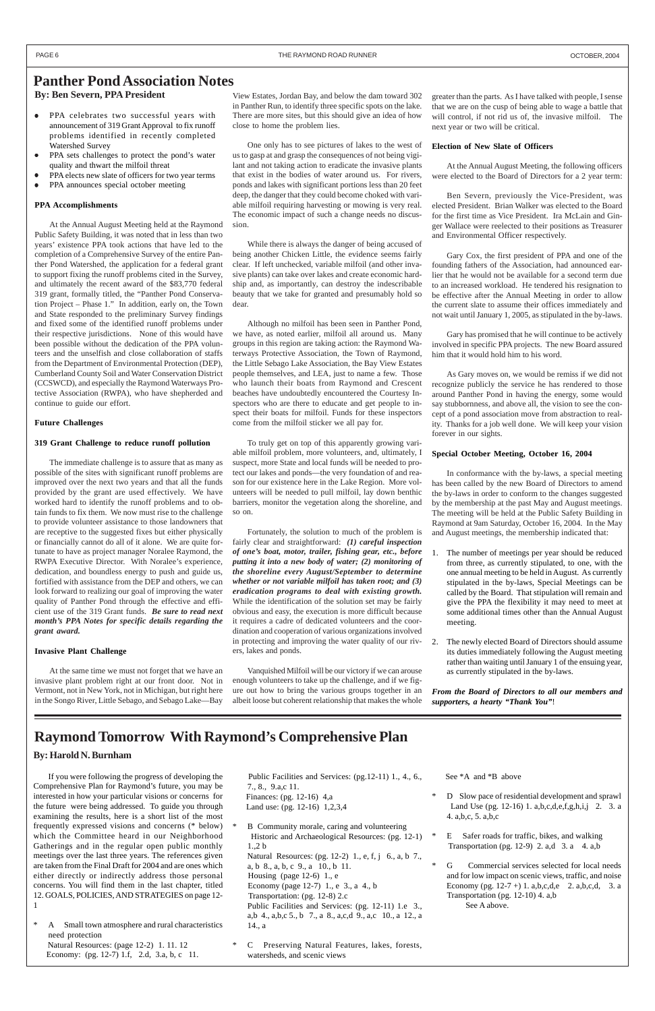### **Panther Pond Association Notes By: Ben Severn, PPA President**

- PPA celebrates two successful years with announcement of 319 Grant Approval to fix runoff problems identified in recently completed Watershed Survey
- PPA sets challenges to protect the pond's water quality and thwart the milfoil threat
- PPA elects new slate of officers for two year terms
- PPA announces special october meeting

#### **PPA Accomplishments**

At the Annual August Meeting held at the Raymond Public Safety Building, it was noted that in less than two years' existence PPA took actions that have led to the completion of a Comprehensive Survey of the entire Panther Pond Watershed, the application for a federal grant to support fixing the runoff problems cited in the Survey, and ultimately the recent award of the \$83,770 federal 319 grant, formally titled, the "Panther Pond Conservation Project – Phase 1." In addition, early on, the Town and State responded to the preliminary Survey findings and fixed some of the identified runoff problems under their respective jurisdictions. None of this would have been possible without the dedication of the PPA volunteers and the unselfish and close collaboration of staffs from the Department of Environmental Protection (DEP), Cumberland County Soil and Water Conservation District (CCSWCD), and especially the Raymond Waterways Protective Association (RWPA), who have shepherded and continue to guide our effort.

#### **Future Challenges**

#### **319 Grant Challenge to reduce runoff pollution**

The immediate challenge is to assure that as many as possible of the sites with significant runoff problems are improved over the next two years and that all the funds provided by the grant are used effectively. We have worked hard to identify the runoff problems and to obtain funds to fix them. We now must rise to the challenge to provide volunteer assistance to those landowners that are receptive to the suggested fixes but either physically or financially cannot do all of it alone. We are quite fortunate to have as project manager Noralee Raymond, the RWPA Executive Director. With Noralee's experience, dedication, and boundless energy to push and guide us, fortified with assistance from the DEP and others, we can look forward to realizing our goal of improving the water quality of Panther Pond through the effective and efficient use of the 319 Grant funds. *Be sure to read next month's PPA Notes for specific details regarding the grant award.*

#### **Invasive Plant Challenge**

At the same time we must not forget that we have an invasive plant problem right at our front door. Not in Vermont, not in New York, not in Michigan, but right here in the Songo River, Little Sebago, and Sebago Lake—Bay

greater than the parts. As I have talked with people, I sense that we are on the cusp of being able to wage a battle that will control, if not rid us of, the invasive milfoil. The next year or two will be critical.

#### **Election of New Slate of Officers**

At the Annual August Meeting, the following officers were elected to the Board of Directors for a 2 year term:

A Small town atmosphere and rural characteristics need protection Natural Resources: (page 12-2) 1. 11. 12 Economy: (pg. 12-7) 1.f, 2.d, 3.a, b, c 11.

Ben Severn, previously the Vice-President, was elected President. Brian Walker was elected to the Board for the first time as Vice President. Ira McLain and Ginger Wallace were reelected to their positions as Treasurer and Environmental Officer respectively.

B Community morale, caring and volunteering Historic and Archaeological Resources: (pg. 12-1) 1.,2 b Natural Resources: (pg. 12-2) 1., e, f, j 6., a, b 7., a, b 8., a, b, c 9., a 10., b 11. Housing (page 12-6) 1., e Economy (page 12-7) 1., e 3., a 4., b Transportation: (pg. 12-8) 2.c Public Facilities and Services: (pg. 12-11) 1.e 3., a,b 4., a,b,c 5., b 7., a 8., a,c,d 9., a,c 10., a 12., a 14., a

Gary Cox, the first president of PPA and one of the founding fathers of the Association, had announced earlier that he would not be available for a second term due to an increased workload. He tendered his resignation to be effective after the Annual Meeting in order to allow the current slate to assume their offices immediately and not wait until January 1, 2005, as stipulated in the by-laws.

Gary has promised that he will continue to be actively involved in specific PPA projects. The new Board assured him that it would hold him to his word.

As Gary moves on, we would be remiss if we did not recognize publicly the service he has rendered to those around Panther Pond in having the energy, some would say stubbornness, and above all, the vision to see the concept of a pond association move from abstraction to reality. Thanks for a job well done. We will keep your vision forever in our sights.

#### **Special October Meeting, October 16, 2004**

In conformance with the by-laws, a special meeting has been called by the new Board of Directors to amend the by-laws in order to conform to the changes suggested by the membership at the past May and August meetings. The meeting will be held at the Public Safety Building in Raymond at 9am Saturday, October 16, 2004. In the May and August meetings, the membership indicated that:

- 1. The number of meetings per year should be reduced from three, as currently stipulated, to one, with the one annual meeting to be held in August. As currently stipulated in the by-laws, Special Meetings can be called by the Board. That stipulation will remain and give the PPA the flexibility it may need to meet at some additional times other than the Annual August meeting.
- 2. The newly elected Board of Directors should assume its duties immediately following the August meeting rather than waiting until January 1 of the ensuing year, as currently stipulated in the by-laws.

G Commercial services selected for local needs and for low impact on scenic views, traffic, and noise Economy (pg.  $12-7 + 1$ . a,b,c,d,e 2. a,b,c,d, 3. a Transportation (pg. 12-10) 4. a,b See A above.

*From the Board of Directors to all our members and supporters, a hearty "Thank You"*!

### **Raymond Tomorrow With Raymond's Comprehensive Plan**

### **By: Harold N. Burnham**

If you were following the progress of developing the Comprehensive Plan for Raymond's future, you may be interested in how your particular visions or concerns for the future were being addressed. To guide you through examining the results, here is a short list of the most frequently expressed visions and concerns (\* below) which the Committee heard in our Neighborhood Gatherings and in the regular open public monthly meetings over the last three years. The references given are taken from the Final Draft for 2004 and are ones which either directly or indirectly address those personal concerns. You will find them in the last chapter, titled 12. GOALS, POLICIES, AND STRATEGIES on page 12- 1

```
 Public Facilities and Services: (pg.12-11) 1., 4., 6.,
7., 8., 9.a,c 11.
 Finances: (pg. 12-16) 4,a
 Land use: (pg. 12-16) 1,2,3,4
```
\* C Preserving Natural Features, lakes, forests, watersheds, and scenic views

View Estates, Jordan Bay, and below the dam toward 302 in Panther Run, to identify three specific spots on the lake. There are more sites, but this should give an idea of how close to home the problem lies.

One only has to see pictures of lakes to the west of us to gasp at and grasp the consequences of not being vigilant and not taking action to eradicate the invasive plants that exist in the bodies of water around us. For rivers, ponds and lakes with significant portions less than 20 feet deep, the danger that they could become choked with variable milfoil requiring harvesting or mowing is very real. The economic impact of such a change needs no discussion.

While there is always the danger of being accused of being another Chicken Little, the evidence seems fairly clear. If left unchecked, variable milfoil (and other invasive plants) can take over lakes and create economic hardship and, as importantly, can destroy the indescribable beauty that we take for granted and presumably hold so dear.

Although no milfoil has been seen in Panther Pond, we have, as noted earlier, milfoil all around us. Many groups in this region are taking action: the Raymond Waterways Protective Association, the Town of Raymond, the Little Sebago Lake Association, the Bay View Estates people themselves, and LEA, just to name a few. Those who launch their boats from Raymond and Crescent beaches have undoubtedly encountered the Courtesy Inspectors who are there to educate and get people to inspect their boats for milfoil. Funds for these inspectors come from the milfoil sticker we all pay for.

To truly get on top of this apparently growing variable milfoil problem, more volunteers, and, ultimately, I suspect, more State and local funds will be needed to protect our lakes and ponds—the very foundation of and reason for our existence here in the Lake Region. More volunteers will be needed to pull milfoil, lay down benthic barriers, monitor the vegetation along the shoreline, and so on.

Fortunately, the solution to much of the problem is fairly clear and straightforward: *(1) careful inspection of one's boat, motor, trailer, fishing gear, etc., before putting it into a new body of water; (2) monitoring of the shoreline every August/September to determine whether or not variable milfoil has taken root; and (3) eradication programs to deal with existing growth.* While the identification of the solution set may be fairly obvious and easy, the execution is more difficult because it requires a cadre of dedicated volunteers and the coordination and cooperation of various organizations involved in protecting and improving the water quality of our rivers, lakes and ponds.

Vanquished Milfoil will be our victory if we can arouse enough volunteers to take up the challenge, and if we figure out how to bring the various groups together in an albeit loose but coherent relationship that makes the whole

See \*A and \*B above

- D Slow pace of residential development and sprawl Land Use (pg. 12-16) 1. a,b,c,d,e,f,g,h,i,j 2. 3. a 4. a,b,c, 5. a,b,c
- E Safer roads for traffic, bikes, and walking Transportation (pg. 12-9) 2. a,d  $\,$  3. a  $\,$  4. a,b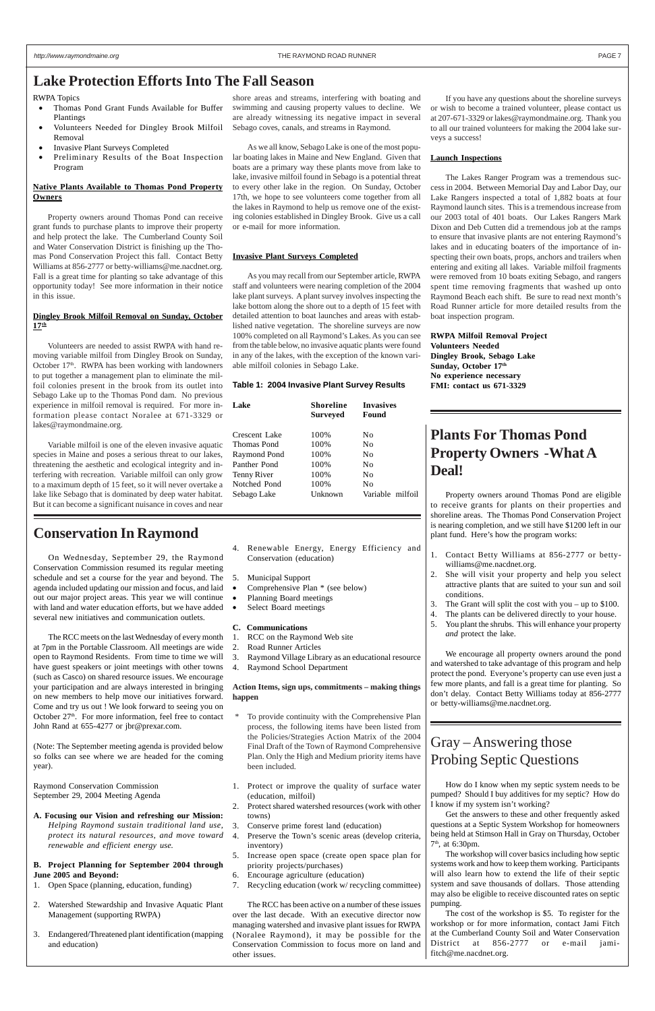RWPA Topics

- Thomas Pond Grant Funds Available for Buffer Plantings
- Volunteers Needed for Dingley Brook Milfoil Removal
- Invasive Plant Surveys Completed
- Preliminary Results of the Boat Inspection Program

#### **Native Plants Available to Thomas Pond Property Owners**

Property owners around Thomas Pond can receive grant funds to purchase plants to improve their property and help protect the lake. The Cumberland County Soil and Water Conservation District is finishing up the Thomas Pond Conservation Project this fall. Contact Betty Williams at 856-2777 or betty-williams@me.nacdnet.org. Fall is a great time for planting so take advantage of this opportunity today! See more information in their notice in this issue.

#### **Dingley Brook Milfoil Removal on Sunday, October 17th**

Volunteers are needed to assist RWPA with hand removing variable milfoil from Dingley Brook on Sunday, October  $17<sup>th</sup>$ . RWPA has been working with landowners to put together a management plan to eliminate the milfoil colonies present in the brook from its outlet into Sebago Lake up to the Thomas Pond dam. No previous experience in milfoil removal is required. For more information please contact Noralee at 671-3329 or lakes@raymondmaine.org.

Variable milfoil is one of the eleven invasive aquatic species in Maine and poses a serious threat to our lakes, threatening the aesthetic and ecological integrity and interfering with recreation. Variable milfoil can only grow to a maximum depth of 15 feet, so it will never overtake a lake like Sebago that is dominated by deep water habitat. But it can become a significant nuisance in coves and near

shore areas and streams, interfering with boating and swimming and causing property values to decline. We are already witnessing its negative impact in several Sebago coves, canals, and streams in Raymond.

As we all know, Sebago Lake is one of the most popular boating lakes in Maine and New England. Given that boats are a primary way these plants move from lake to lake, invasive milfoil found in Sebago is a potential threat to every other lake in the region. On Sunday, October 17th, we hope to see volunteers come together from all the lakes in Raymond to help us remove one of the existing colonies established in Dingley Brook. Give us a call or e-mail for more information.

#### **Invasive Plant Surveys Completed**

As you may recall from our September article, RWPA staff and volunteers were nearing completion of the 2004 lake plant surveys. A plant survey involves inspecting the lake bottom along the shore out to a depth of 15 feet with detailed attention to boat launches and areas with established native vegetation. The shoreline surveys are now 100% completed on all Raymond's Lakes. As you can see from the table below, no invasive aquatic plants were found in any of the lakes, with the exception of the known variable milfoil colonies in Sebago Lake.

#### **Table 1: 2004 Invasive Plant Survey Results**

| Lake                | <b>Shoreline</b><br><b>Surveyed</b> | <b>Invasives</b><br>Found |
|---------------------|-------------------------------------|---------------------------|
| Crescent Lake       | 100%                                | No                        |
| Thomas Pond         | 100%                                | No                        |
| <b>Raymond Pond</b> | 100%                                | No                        |
| Panther Pond        | 100%                                | N <sub>0</sub>            |
| Tenny River         | 100%                                | No                        |
| Notched Pond        | 100%                                | No                        |
| Sebago Lake         | Unknown                             | Variable milfoil          |
|                     |                                     |                           |

To provide continuity with the Comprehensive Plan process, the following items have been listed from the Policies/Strategies Action Matrix of the 2004

If you have any questions about the shoreline surveys or wish to become a trained volunteer, please contact us at 207-671-3329 or lakes@raymondmaine.org. Thank you to all our trained volunteers for making the 2004 lake surveys a success!

#### **Launch Inspections**

The Lakes Ranger Program was a tremendous success in 2004. Between Memorial Day and Labor Day, our Lake Rangers inspected a total of 1,882 boats at four Raymond launch sites. This is a tremendous increase from our 2003 total of 401 boats. Our Lakes Rangers Mark Dixon and Deb Cutten did a tremendous job at the ramps to ensure that invasive plants are not entering Raymond's lakes and in educating boaters of the importance of inspecting their own boats, props, anchors and trailers when entering and exiting all lakes. Variable milfoil fragments were removed from 10 boats exiting Sebago, and rangers spent time removing fragments that washed up onto Raymond Beach each shift. Be sure to read next month's Road Runner article for more detailed results from the boat inspection program.

Get the answers to these and other frequently asked questions at a Septic System Workshop for homeowners being held at Stimson Hall in Gray on Thursday, October  $7<sup>th</sup>$ , at 6:30pm.

#### **RWPA Milfoil Removal Project Volunteers Needed Dingley Brook, Sebago Lake Sunday, October 17th No experience necessary FMI: contact us 671-3329**

### **Conservation In Raymond**

On Wednesday, September 29, the Raymond Conservation Commission resumed its regular meeting schedule and set a course for the year and beyond. The agenda included updating our mission and focus, and laid out our major project areas. This year we will continue with land and water education efforts, but we have added several new initiatives and communication outlets.

The RCC meets on the last Wednesday of every month at 7pm in the Portable Classroom. All meetings are wide open to Raymond Residents. From time to time we will have guest speakers or joint meetings with other towns (such as Casco) on shared resource issues. We encourage your participation and are always interested in bringing on new members to help move our initiatives forward. Come and try us out ! We look forward to seeing you on October 27<sup>th</sup>. For more information, feel free to contact John Rand at 655-4277 or jbr@prexar.com.

(Note: The September meeting agenda is provided below so folks can see where we are headed for the coming year).

Raymond Conservation Commission September 29, 2004 Meeting Agenda

**A. Focusing our Vision and refreshing our Mission:** *Helping Raymond sustain traditional land use,*

*protect its natural resources, and move toward renewable and efficient energy use.*

#### **B. Project Planning for September 2004 through June 2005 and Beyond:**

- 1. Open Space (planning, education, funding)
- 2. Watershed Stewardship and Invasive Aquatic Plant Management (supporting RWPA)
- 3. Endangered/Threatened plant identification (mapping and education)
- 4. Renewable Energy, Energy Efficiency and Conservation (education)
- 5. Municipal Support
- Comprehensive Plan \* (see below)
- Planning Board meetings
- Select Board meetings
- **C. Communications**
- 1. RCC on the Raymond Web site
- 2. Road Runner Articles
- 3. Raymond Village Library as an educational resource
- 4. Raymond School Department

#### **Action Items, sign ups, commitments – making things happen**

Final Draft of the Town of Raymond Comprehensive Plan. Only the High and Medium priority items have been included.

- 1. Protect or improve the quality of surface water (education, milfoil)
- 2. Protect shared watershed resources (work with other towns)
- 3. Conserve prime forest land (education)
- 4. Preserve the Town's scenic areas (develop criteria, inventory)
- 5. Increase open space (create open space plan for priority projects/purchases)
- 6. Encourage agriculture (education)
- 7. Recycling education (work w/ recycling committee)

The RCC has been active on a number of these issues over the last decade. With an executive director now managing watershed and invasive plant issues for RWPA (Noralee Raymond), it may be possible for the Conservation Commission to focus more on land and other issues.

## **Plants For Thomas Pond Property Owners -What A Deal!**

Property owners around Thomas Pond are eligible to receive grants for plants on their properties and shoreline areas. The Thomas Pond Conservation Project is nearing completion, and we still have \$1200 left in our plant fund. Here's how the program works:

- 1. Contact Betty Williams at 856-2777 or bettywilliams@me.nacdnet.org.
- 2. She will visit your property and help you select attractive plants that are suited to your sun and soil conditions.
- 3. The Grant will split the cost with you up to \$100.
- 4. The plants can be delivered directly to your house.
- 5. You plant the shrubs. This will enhance your property *and* protect the lake.

We encourage all property owners around the pond and watershed to take advantage of this program and help protect the pond. Everyone's property can use even just a few more plants, and fall is a great time for planting. So don't delay. Contact Betty Williams today at 856-2777 or betty-williams@me.nacdnet.org.

# Gray – Answering those

# Probing Septic Questions

How do I know when my septic system needs to be pumped? Should I buy additives for my septic? How do I know if my system isn't working?

The workshop will cover basics including how septic systems work and how to keep them working. Participants will also learn how to extend the life of their septic system and save thousands of dollars. Those attending may also be eligible to receive discounted rates on septic pumping.

The cost of the workshop is \$5. To register for the workshop or for more information, contact Jami Fitch at the Cumberland County Soil and Water Conservation District at 856-2777 or e-mail jamifitch@me.nacdnet.org.

### **Lake Protection Efforts Into The Fall Season**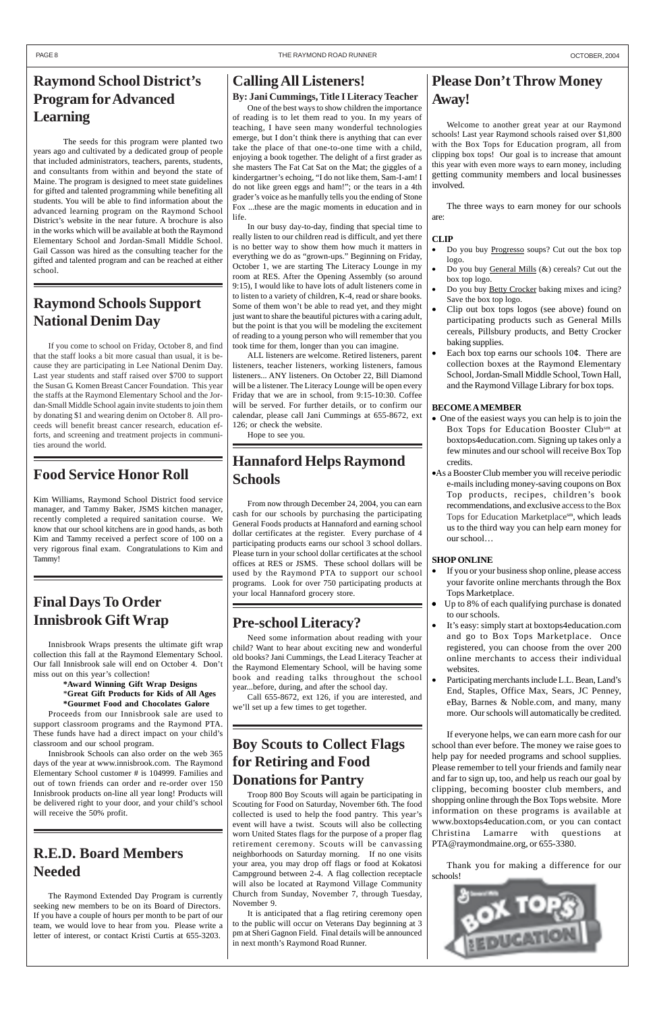# **Raymond School District's Program for Advanced Learning**

The seeds for this program were planted two years ago and cultivated by a dedicated group of people that included administrators, teachers, parents, students, and consultants from within and beyond the state of Maine. The program is designed to meet state guidelines for gifted and talented programming while benefiting all students. You will be able to find information about the advanced learning program on the Raymond School District's website in the near future. A brochure is also in the works which will be available at both the Raymond Elementary School and Jordan-Small Middle School. Gail Casson was hired as the consulting teacher for the gifted and talented program and can be reached at either school.

# **Please Don't Throw Money Away!**

- Do you buy **Progresso** soups? Cut out the box top logo.
- Do you buy  $General Mills$  ( $&$ ) cereals? Cut out the</u> box top logo.
- Do you buy **Betty Crocker** baking mixes and icing? Save the box top logo.
- Clip out box tops logos (see above) found on participating products such as General Mills cereals, Pillsbury products, and Betty Crocker baking supplies.
- Each box top earns our schools  $10¢$ . There are collection boxes at the Raymond Elementary School, Jordan-Small Middle School, Town Hall, and the Raymond Village Library for box tops.

Welcome to another great year at our Raymond schools! Last year Raymond schools raised over \$1,800 with the Box Tops for Education program, all from clipping box tops! Our goal is to increase that amount this year with even more ways to earn money, including getting community members and local businesses involved.

The three ways to earn money for our schools are:

#### **CLIP**

#### **BECOME A MEMBER**

- One of the easiest ways you can help is to join the Box Tops for Education Booster Clubsm at boxtops4education.com. Signing up takes only a few minutes and our school will receive Box Top credits.
- •As a Booster Club member you will receive periodic e-mails including money-saving coupons on Box Top products, recipes, children's book recommendations, and exclusive access to the Box Tops for Education Marketplacesm, which leads us to the third way you can help earn money for our school…

### **SHOP ONLINE**

- If you or your business shop online, please access your favorite online merchants through the Box Tops Marketplace.
- Up to 8% of each qualifying purchase is donated to our schools.
- It's easy: simply start at boxtops4education.com and go to Box Tops Marketplace. Once registered, you can choose from the over 200 online merchants to access their individual websites.
- Participating merchants include L.L. Bean, Land's End, Staples, Office Max, Sears, JC Penney, eBay, Barnes & Noble.com, and many, many more. Our schools will automatically be credited.

If everyone helps, we can earn more cash for our school than ever before. The money we raise goes to help pay for needed programs and school supplies. Please remember to tell your friends and family near and far to sign up, too, and help us reach our goal by clipping, becoming booster club members, and shopping online through the Box Tops website. More information on these programs is available at www.boxtops4education.com, or you can contact Christina Lamarre with questions at PTA@raymondmaine.org, or 655-3380.

Thank you for making a difference for our schools!



### **Calling All Listeners!**

### **By: Jani Cummings, Title I Literacy Teacher**

One of the best ways to show children the importance of reading is to let them read to you. In my years of teaching, I have seen many wonderful technologies emerge, but I don't think there is anything that can ever take the place of that one-to-one time with a child, enjoying a book together. The delight of a first grader as she masters The Fat Cat Sat on the Mat; the giggles of a kindergartner's echoing, "I do not like them, Sam-I-am! I do not like green eggs and ham!"; or the tears in a 4th grader's voice as he manfully tells you the ending of Stone Fox ...these are the magic moments in education and in life.

In our busy day-to-day, finding that special time to really listen to our children read is difficult, and yet there is no better way to show them how much it matters in everything we do as "grown-ups." Beginning on Friday, October 1, we are starting The Literacy Lounge in my room at RES. After the Opening Assembly (so around 9:15), I would like to have lots of adult listeners come in to listen to a variety of children, K-4, read or share books. Some of them won't be able to read yet, and they might just want to share the beautiful pictures with a caring adult, but the point is that you will be modeling the excitement of reading to a young person who will remember that you took time for them, longer than you can imagine.

ALL listeners are welcome. Retired listeners, parent listeners, teacher listeners, working listeners, famous listeners... ANY listeners. On October 22, Bill Diamond will be a listener. The Literacy Lounge will be open every Friday that we are in school, from 9:15-10:30. Coffee will be served. For further details, or to confirm our calendar, please call Jani Cummings at 655-8672, ext 126; or check the website.

Hope to see you.

# **Raymond Schools Support National Denim Day**

If you come to school on Friday, October 8, and find that the staff looks a bit more casual than usual, it is because they are participating in Lee National Denim Day. Last year students and staff raised over \$700 to support the Susan G. Komen Breast Cancer Foundation. This year the staffs at the Raymond Elementary School and the Jordan-Small Middle School again invite students to join them by donating \$1 and wearing denim on October 8. All proceeds will benefit breast cancer research, education efforts, and screening and treatment projects in communities around the world.

## **Food Service Honor Roll**

Kim Williams, Raymond School District food service manager, and Tammy Baker, JSMS kitchen manager, recently completed a required sanitation course. We know that our school kitchens are in good hands, as both Kim and Tammy received a perfect score of 100 on a very rigorous final exam. Congratulations to Kim and Tammy!

# **Hannaford Helps Raymond Schools**

From now through December 24, 2004, you can earn cash for our schools by purchasing the participating General Foods products at Hannaford and earning school dollar certificates at the register. Every purchase of 4 participating products earns our school 3 school dollars. Please turn in your school dollar certificates at the school offices at RES or JSMS. These school dollars will be used by the Raymond PTA to support our school programs. Look for over 750 participating products at your local Hannaford grocery store.

# **Final Days To Order Innisbrook Gift Wrap**

Innisbrook Wraps presents the ultimate gift wrap collection this fall at the Raymond Elementary School. Our fall Innisbrook sale will end on October 4. Don't miss out on this year's collection!

#### **\*Award Winning Gift Wrap Designs** \***Great Gift Products for Kids of All Ages \*Gourmet Food and Chocolates Galore**

Proceeds from our Innisbrook sale are used to support classroom programs and the Raymond PTA. These funds have had a direct impact on your child's

classroom and our school program.

Innisbrook Schools can also order on the web 365 days of the year at www.innisbrook.com. The Raymond Elementary School customer # is 104999. Families and out of town friends can order and re-order over 150 Innisbrook products on-line all year long! Products will be delivered right to your door, and your child's school will receive the 50% profit.

## **Pre-school Literacy?**

Need some information about reading with your child? Want to hear about exciting new and wonderful old books? Jani Cummings, the Lead Literacy Teacher at the Raymond Elementary School, will be having some book and reading talks throughout the school year...before, during, and after the school day.

Call 655-8672, ext 126, if you are interested, and we'll set up a few times to get together.

# **R.E.D. Board Members Needed**

The Raymond Extended Day Program is currently seeking new members to be on its Board of Directors. If you have a couple of hours per month to be part of our team, we would love to hear from you. Please write a letter of interest, or contact Kristi Curtis at 655-3203.

# **Boy Scouts to Collect Flags for Retiring and Food Donations for Pantry**

Troop 800 Boy Scouts will again be participating in Scouting for Food on Saturday, November 6th. The food collected is used to help the food pantry. This year's event will have a twist. Scouts will also be collecting worn United States flags for the purpose of a proper flag retirement ceremony. Scouts will be canvassing neighborhoods on Saturday morning. If no one visits your area, you may drop off flags or food at Kokatosi Campground between 2-4. A flag collection receptacle will also be located at Raymond Village Community Church from Sunday, November 7, through Tuesday, November 9.

It is anticipated that a flag retiring ceremony open to the public will occur on Veterans Day beginning at 3 pm at Sheri Gagnon Field. Final details will be announced in next month's Raymond Road Runner.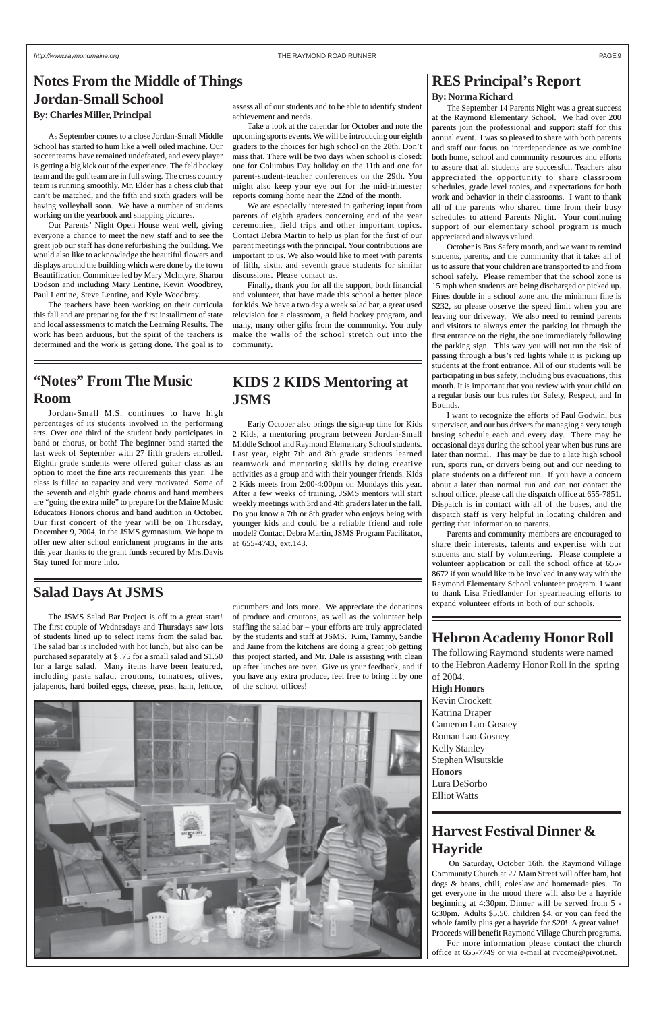# **Notes From the Middle of Things Jordan-Small School**

### **KIDS 2 KIDS Mentoring at JSMS**

Early October also brings the sign-up time for Kids 2 Kids, a mentoring program between Jordan-Small Middle School and Raymond Elementary School students. Last year, eight 7th and 8th grade students learned teamwork and mentoring skills by doing creative activities as a group and with their younger friends. Kids 2 Kids meets from 2:00-4:00pm on Mondays this year. After a few weeks of training, JSMS mentors will start weekly meetings with 3rd and 4th graders later in the fall. Do you know a 7th or 8th grader who enjoys being with younger kids and could be a reliable friend and role model? Contact Debra Martin, JSMS Program Facilitator, at 655-4743, ext.143.

### **"Notes" From The Music Room**

Jordan-Small M.S. continues to have high percentages of its students involved in the performing arts. Over one third of the student body participates in band or chorus, or both! The beginner band started the last week of September with 27 fifth graders enrolled. Eighth grade students were offered guitar class as an option to meet the fine arts requirements this year. The class is filled to capacity and very motivated. Some of the seventh and eighth grade chorus and band members are "going the extra mile" to prepare for the Maine Music Educators Honors chorus and band audition in October. Our first concert of the year will be on Thursday, December 9, 2004, in the JSMS gymnasium. We hope to offer new after school enrichment programs in the arts this year thanks to the grant funds secured by Mrs.Davis Stay tuned for more info.

### **RES Principal's Report**

#### **By: Norma Richard**

The September 14 Parents Night was a great success at the Raymond Elementary School. We had over 200 parents join the professional and support staff for this annual event. I was so pleased to share with both parents and staff our focus on interdependence as we combine both home, school and community resources and efforts to assure that all students are successful. Teachers also appreciated the opportunity to share classroom schedules, grade level topics, and expectations for both work and behavior in their classrooms. I want to thank all of the parents who shared time from their busy schedules to attend Parents Night. Your continuing support of our elementary school program is much appreciated and always valued.

October is Bus Safety month, and we want to remind students, parents, and the community that it takes all of us to assure that your children are transported to and from school safely. Please remember that the school zone is 15 mph when students are being discharged or picked up. Fines double in a school zone and the minimum fine is \$232, so please observe the speed limit when you are leaving our driveway. We also need to remind parents and visitors to always enter the parking lot through the first entrance on the right, the one immediately following the parking sign. This way you will not run the risk of passing through a bus's red lights while it is picking up students at the front entrance. All of our students will be participating in bus safety, including bus evacuations, this month. It is important that you review with your child on a regular basis our bus rules for Safety, Respect, and In Bounds.

I want to recognize the efforts of Paul Godwin, bus supervisor, and our bus drivers for managing a very tough busing schedule each and every day. There may be occasional days during the school year when bus runs are later than normal. This may be due to a late high school run, sports run, or drivers being out and our needing to place students on a different run. If you have a concern about a later than normal run and can not contact the school office, please call the dispatch office at 655-7851. Dispatch is in contact with all of the buses, and the dispatch staff is very helpful in locating children and getting that information to parents.

Parents and community members are encouraged to share their interests, talents and expertise with our students and staff by volunteering. Please complete a volunteer application or call the school office at 655- 8672 if you would like to be involved in any way with the Raymond Elementary School volunteer program. I want to thank Lisa Friedlander for spearheading efforts to expand volunteer efforts in both of our schools.

### **Salad Days At JSMS**

The JSMS Salad Bar Project is off to a great start! The first couple of Wednesdays and Thursdays saw lots of students lined up to select items from the salad bar. The salad bar is included with hot lunch, but also can be purchased separately at \$ .75 for a small salad and \$1.50 for a large salad. Many items have been featured, including pasta salad, croutons, tomatoes, olives, jalapenos, hard boiled eggs, cheese, peas, ham, lettuce,

### **By: Charles Miller, Principal**

As September comes to a close Jordan-Small Middle School has started to hum like a well oiled machine. Our soccer teams have remained undefeated, and every player is getting a big kick out of the experience. The feld hockey team and the golf team are in full swing. The cross country team is running smoothly. Mr. Elder has a chess club that can't be matched, and the fifth and sixth graders will be having volleyball soon. We have a number of students working on the yearbook and snapping pictures.

Our Parents' Night Open House went well, giving everyone a chance to meet the new staff and to see the great job our staff has done refurbishing the building. We would also like to acknowledge the beautiful flowers and displays around the building which were done by the town Beautification Committee led by Mary McIntyre, Sharon Dodson and including Mary Lentine, Kevin Woodbrey, Paul Lentine, Steve Lentine, and Kyle Woodbrey.

The teachers have been working on their curricula this fall and are preparing for the first installment of state and local assessments to match the Learning Results. The work has been arduous, but the spirit of the teachers is determined and the work is getting done. The goal is to

assess all of our students and to be able to identify student achievement and needs.

Take a look at the calendar for October and note the upcoming sports events. We will be introducing our eighth graders to the choices for high school on the 28th. Don't miss that. There will be two days when school is closed: one for Columbus Day holiday on the 11th and one for parent-student-teacher conferences on the 29th. You might also keep your eye out for the mid-trimester reports coming home near the 22nd of the month.

We are especially interested in gathering input from parents of eighth graders concerning end of the year ceremonies, field trips and other important topics. Contact Debra Martin to help us plan for the first of our parent meetings with the principal. Your contributions are important to us. We also would like to meet with parents of fifth, sixth, and seventh grade students for similar discussions. Please contact us.

Finally, thank you for all the support, both financial and volunteer, that have made this school a better place for kids. We have a two day a week salad bar, a great used television for a classroom, a field hockey program, and many, many other gifts from the community. You truly make the walls of the school stretch out into the community.

cucumbers and lots more. We appreciate the donations of produce and croutons, as well as the volunteer help staffing the salad bar – your efforts are truly appreciated by the students and staff at JSMS. Kim, Tammy, Sandie and Jaine from the kitchens are doing a great job getting this project started, and Mr. Dale is assisting with clean up after lunches are over. Give us your feedback, and if you have any extra produce, feel free to bring it by one of the school offices!

## **Hebron Academy Honor Roll**

The following Raymond students were named to the Hebron Aademy Honor Roll in the spring of 2004.

#### **High Honors**

Kevin Crockett Katrina Draper Cameron Lao-Gosney Roman Lao-Gosney Kelly Stanley Stephen Wisutskie **Honors** Lura DeSorbo Elliot Watts



### **Harvest Festival Dinner & Hayride**

 On Saturday, October 16th, the Raymond Village Community Church at 27 Main Street will offer ham, hot dogs & beans, chili, coleslaw and homemade pies. To get everyone in the mood there will also be a hayride beginning at 4:30pm. Dinner will be served from 5 - 6:30pm. Adults \$5.50, children \$4, or you can feed the whole family plus get a hayride for \$20! A great value! Proceeds will benefit Raymond Village Church programs.

For more information please contact the church office at 655-7749 or via e-mail at rvccme@pivot.net.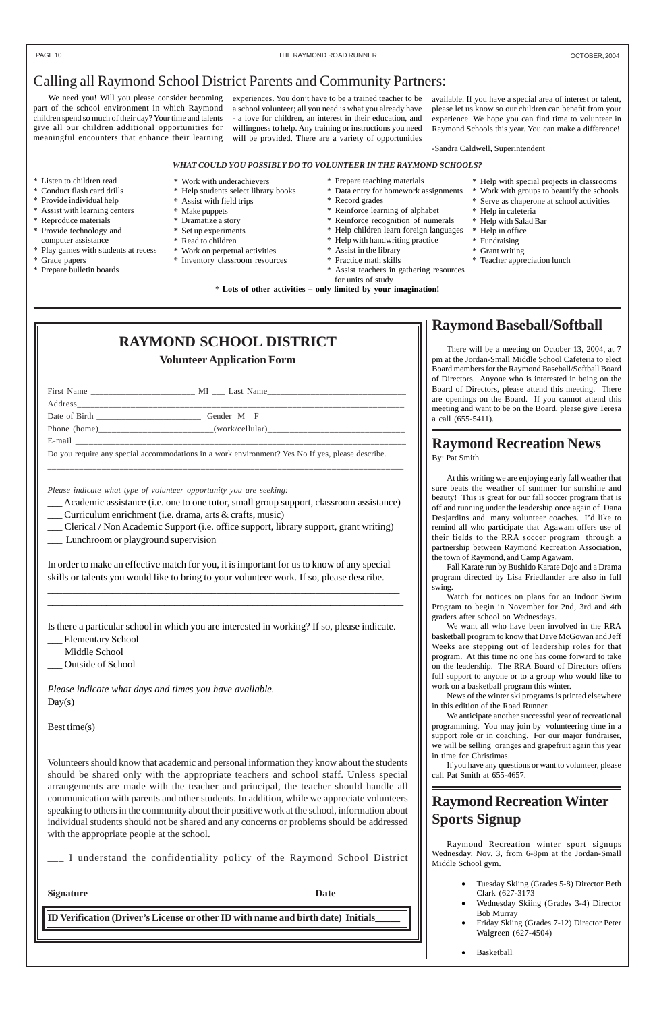### Calling all Raymond School District Parents and Community Partners:

We need you! Will you please consider becoming part of the school environment in which Raymond children spend so much of their day? Your time and talents give all our children additional opportunities for meaningful encounters that enhance their learning

experiences. You don't have to be a trained teacher to be a school volunteer; all you need is what you already have - a love for children, an interest in their education, and willingness to help. Any training or instructions you need will be provided. There are a variety of opportunities

available. If you have a special area of interest or talent, please let us know so our children can benefit from your experience. We hope you can find time to volunteer in Raymond Schools this year. You can make a difference!

-Sandra Caldwell, Superintendent

#### *WHAT COULD YOU POSSIBLY DO TO VOLUNTEER IN THE RAYMOND SCHOOLS?*

\* Work with underachievers \* Help students select library books

- \* Listen to children read
- \* Conduct flash card drills
- \* Provide individual help
- \* Assist with learning centers
- \* Reproduce materials
- \* Provide technology and computer assistance
- \* Play games with students at recess
- \* Grade papers
- \* Prepare bulletin boards
- 
- \* Make puppets
- \* Dramatize a story
- \* Set up experiments
- \* Read to children
- \* Work on perpetual activities
- \* Inventory classroom resources
- \* Record grades \* Reinforce learning of alphabet

\* Prepare teaching materials

\* Data entry for homework assignments

- \* Reinforce recognition of numerals
- \* Help children learn foreign languages
- \* Assist with field trips
- 
- 
- 
- 
- 
- - \* Assist teachers in gathering resources
- \* Help in office \* Fundraising
- \* Help with handwriting practice
- \* Assist in the library
- \* Practice math skills
- for units of study

- Elementary School
- Middle School
- \_\_\_ Outside of School

*Please indicate what days and times you have available.*  $Day(s)$ 

\* Help with special projects in classrooms \* Work with groups to beautify the schools \* Serve as chaperone at school activities

\* Help in cafeteria \* Help with Salad Bar

- \* Grant writing
- \* Teacher appreciation lunch

\* **Lots of other activities – only limited by your imagination!**

# **RAYMOND SCHOOL DISTRICT**

### **Volunteer Application Form**

| First Name                  | MI Last Name |
|-----------------------------|--------------|
| Address                     |              |
| Date of Birth Date of Birth | Gender M F   |
|                             |              |
| E-mail                      |              |
|                             |              |

Do you require any special accommodations in a work environment? Yes No If yes, please describe.

\_\_\_\_\_\_\_\_\_\_\_\_\_\_\_\_\_\_\_\_\_\_\_\_\_\_\_\_\_\_\_\_\_\_\_\_\_\_\_\_\_\_\_\_\_\_\_\_\_\_\_\_\_\_\_\_\_\_\_\_\_\_\_\_\_\_\_\_\_\_\_\_\_\_\_\_\_\_\_

*Please indicate what type of volunteer opportunity you are seeking:*

Academic assistance (i.e. one to one tutor, small group support, classroom assistance)

\_\_\_ Curriculum enrichment (i.e. drama, arts & crafts, music)

- Clerical / Non Academic Support (i.e. office support, library support, grant writing)
- Lunchroom or playground supervision

In order to make an effective match for you, it is important for us to know of any special skills or talents you would like to bring to your volunteer work. If so, please describe.

\_\_\_\_\_\_\_\_\_\_\_\_\_\_\_\_\_\_\_\_\_\_\_\_\_\_\_\_\_\_\_\_\_\_\_\_\_\_\_\_\_\_\_\_\_\_\_\_\_\_\_\_\_\_\_\_\_\_\_\_\_\_\_\_\_\_\_\_\_\_\_ \_\_\_\_\_\_\_\_\_\_\_\_\_\_\_\_\_\_\_\_\_\_\_\_\_\_\_\_\_\_\_\_\_\_\_\_\_\_\_\_\_\_\_\_\_\_\_\_\_\_\_\_\_\_\_\_\_\_\_\_\_\_\_\_\_\_\_\_\_\_\_\_\_

Is there a particular school in which you are interested in working? If so, please indicate.

\_\_\_\_\_\_\_\_\_\_\_\_\_\_\_\_\_\_\_\_\_\_\_\_\_\_\_\_\_\_\_\_\_\_\_\_\_\_\_\_\_\_\_\_\_\_\_\_\_\_\_\_\_\_\_\_\_\_\_\_\_\_\_\_\_\_\_\_\_\_\_\_\_\_\_\_\_\_

Best time(s)

#### PAGE 10 **THE RAYMOND ROAD RUNNER SEXUAL SEXUAL SEXUAL SEXUAL SEXUAL SEXUAL SEXUAL SEXUAL SEXUAL SEXUAL SEXUAL SEXUAL SEXUAL SEXUAL SEXUAL SEXUAL SEXUAL SEXUAL SEXUAL SEXUAL SEXUAL SEXUAL SEXUAL SEXUAL SEXUAL SEXUAL SEXUAL**

\_\_\_\_\_\_\_\_\_\_\_\_\_\_\_\_\_\_\_\_\_\_\_\_\_\_\_\_\_\_\_\_\_\_\_\_\_\_\_\_\_\_\_\_\_\_\_\_\_\_\_\_\_\_\_\_\_\_\_\_\_\_\_\_\_\_\_\_\_\_\_\_\_\_

I understand the confidentiality policy of the Raymond School District

Volunteers should know that academic and personal information they know about the students should be shared only with the appropriate teachers and school staff. Unless special arrangements are made with the teacher and principal, the teacher should handle all communication with parents and other students. In addition, while we appreciate volunteers speaking to others in the community about their positive work at the school, information about individual students should not be shared and any concerns or problems should be addressed with the appropriate people at the school.

\_\_\_\_\_\_\_\_\_\_\_\_\_\_\_\_\_\_\_\_\_\_\_\_\_\_\_\_\_\_\_\_\_\_\_\_\_\_ \_\_\_\_\_\_\_\_\_\_\_\_\_\_\_\_\_

**Signature Date**

**ID Verification (Driver's License or other ID with name and birth date) Initials\_\_\_\_\_**

# **Raymond Baseball/Softball**

There will be a meeting on October 13, 2004, at 7 pm at the Jordan-Small Middle School Cafeteria to elect Board members for the Raymond Baseball/Softball Board of Directors. Anyone who is interested in being on the Board of Directors, please attend this meeting. There are openings on the Board. If you cannot attend this meeting and want to be on the Board, please give Teresa a call (655-5411).

## **Raymond Recreation News**

By: Pat Smith

At this writing we are enjoying early fall weather that sure beats the weather of summer for sunshine and beauty! This is great for our fall soccer program that is off and running under the leadership once again of Dana Desjardins and many volunteer coaches. I'd like to remind all who participate that Agawam offers use of their fields to the RRA soccer program through a partnership between Raymond Recreation Association, the town of Raymond, and Camp Agawam.

Fall Karate run by Bushido Karate Dojo and a Drama program directed by Lisa Friedlander are also in full swing.

Watch for notices on plans for an Indoor Swim Program to begin in November for 2nd, 3rd and 4th graders after school on Wednesdays.

We want all who have been involved in the RRA basketball program to know that Dave McGowan and Jeff Weeks are stepping out of leadership roles for that program. At this time no one has come forward to take on the leadership. The RRA Board of Directors offers full support to anyone or to a group who would like to work on a basketball program this winter.

News of the winter ski programs is printed elsewhere in this edition of the Road Runner.

We anticipate another successful year of recreational programming. You may join by volunteering time in a support role or in coaching. For our major fundraiser, we will be selling oranges and grapefruit again this year in time for Christimas.

If you have any questions or want to volunteer, please call Pat Smith at 655-4657.

# **Raymond Recreation Winter Sports Signup**

Raymond Recreation winter sport signups Wednesday, Nov. 3, from 6-8pm at the Jordan-Small Middle School gym.

- Tuesday Skiing (Grades 5-8) Director Beth Clark (627-3173
- Wednesday Skiing (Grades 3-4) Director Bob Murray
- Friday Skiing (Grades 7-12) Director Peter Walgreen (627-4504)
- Basketball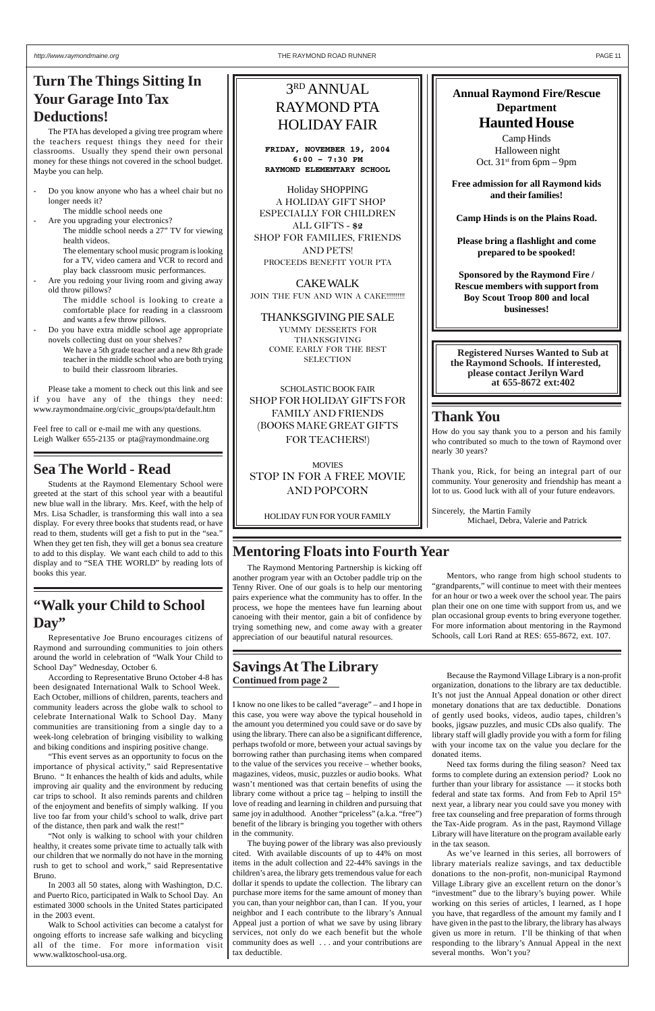### **Sea The World - Read**

Students at the Raymond Elementary School were greeted at the start of this school year with a beautiful new blue wall in the library. Mrs. Keef, with the help of Mrs. Lisa Schadler, is transforming this wall into a sea display. For every three books that students read, or have read to them, students will get a fish to put in the "sea." When they get ten fish, they will get a bonus sea creature to add to this display. We want each child to add to this display and to "SEA THE WORLD" by reading lots of books this year.

# **Turn The Things Sitting In Your Garage Into Tax Deductions!**

Are you redoing your living room and giving away old throw pillows?

The PTA has developed a giving tree program where the teachers request things they need for their classrooms. Usually they spend their own personal money for these things not covered in the school budget. Maybe you can help.

- Do you know anyone who has a wheel chair but no longer needs it?
	- The middle school needs one
	- Are you upgrading your electronics? The middle school needs a 27" TV for viewing health videos.

The elementary school music program is looking for a TV, video camera and VCR to record and play back classroom music performances.

The middle school is looking to create a comfortable place for reading in a classroom and wants a few throw pillows.

- Do you have extra middle school age appropriate novels collecting dust on your shelves?

> We have a 5th grade teacher and a new 8th grade teacher in the middle school who are both trying to build their classroom libraries.

Please take a moment to check out this link and see if you have any of the things they need: www.raymondmaine.org/civic\_groups/pta/default.htm

Feel free to call or e-mail me with any questions. Leigh Walker 655-2135 or pta@raymondmaine.org

### **"Walk your Child to School Day"**

Representative Joe Bruno encourages citizens of Raymond and surrounding communities to join others around the world in celebration of "Walk Your Child to School Day" Wednesday, October 6.

According to Representative Bruno October 4-8 has been designated International Walk to School Week. Each October, millions of children, parents, teachers and community leaders across the globe walk to school to celebrate International Walk to School Day. Many communities are transitioning from a single day to a week-long celebration of bringing visibility to walking

and biking conditions and inspiring positive change.

"This event serves as an opportunity to focus on the importance of physical activity," said Representative Bruno. " It enhances the health of kids and adults, while improving air quality and the environment by reducing car trips to school. It also reminds parents and children of the enjoyment and benefits of simply walking. If you live too far from your child's school to walk, drive part of the distance, then park and walk the rest!"

"Not only is walking to school with your children healthy, it creates some private time to actually talk with our children that we normally do not have in the morning rush to get to school and work," said Representative Bruno.

In 2003 all 50 states, along with Washington, D.C. and Puerto Rico, participated in Walk to School Day. An estimated 3000 schools in the United States participated in the 2003 event.

Walk to School activities can become a catalyst for ongoing efforts to increase safe walking and bicycling all of the time. For more information visit www.walktoschool-usa.org.

Camp Hinds Halloween night Oct.  $31<sup>st</sup>$  from 6pm – 9pm

CAKE WALK JOIN THE FUN AND WIN A CAKE!!!!!!!!!!

I know no one likes to be called "average" – and I hope in this case, you were way above the typical household in the amount you determined you could save or do save by using the library. There can also be a significant difference, perhaps twofold or more, between your actual savings by borrowing rather than purchasing items when compared to the value of the services you receive – whether books, magazines, videos, music, puzzles or audio books. What wasn't mentioned was that certain benefits of using the library come without a price tag – helping to instill the love of reading and learning in children and pursuing that same joy in adulthood. Another "priceless" (a.k.a. "free") benefit of the library is bringing you together with others in the community. The buying power of the library was also previously cited. With available discounts of up to 44% on most items in the adult collection and 22-44% savings in the children's area, the library gets tremendous value for each dollar it spends to update the collection. The library can purchase more items for the same amount of money than you can, than your neighbor can, than I can. If you, your neighbor and I each contribute to the library's Annual Appeal just a portion of what we save by using library services, not only do we each benefit but the whole community does as well . . . and your contributions are tax deductible.

**MOVIES** STOP IN FOR A FREE MOVIE AND POPCORN

### **Mentoring Floats into Fourth Year**

Because the Raymond Village Library is a non-profit organization, donations to the library are tax deductible. It's not just the Annual Appeal donation or other direct monetary donations that are tax deductible. Donations of gently used books, videos, audio tapes, children's books, jigsaw puzzles, and music CDs also qualify. The library staff will gladly provide you with a form for filing

with your income tax on the value you declare for the donated items.

Need tax forms during the filing season? Need tax forms to complete during an extension period? Look no further than your library for assistance — it stocks both federal and state tax forms. And from Feb to April  $15<sup>th</sup>$ next year, a library near you could save you money with free tax counseling and free preparation of forms through the Tax-Aide program. As in the past, Raymond Village Library will have literature on the program available early in the tax season.

As we've learned in this series, all borrowers of library materials realize savings, and tax deductible donations to the non-profit, non-municipal Raymond Village Library give an excellent return on the donor's "investment" due to the library's buying power. While working on this series of articles, I learned, as I hope you have, that regardless of the amount my family and I have given in the past to the library, the library has always given us more in return. I'll be thinking of that when responding to the library's Annual Appeal in the next several months. Won't you?

The Raymond Mentoring Partnership is kicking off another program year with an October paddle trip on the Tenny River. One of our goals is to help our mentoring pairs experience what the community has to offer. In the process, we hope the mentees have fun learning about canoeing with their mentor, gain a bit of confidence by trying something new, and come away with a greater appreciation of our beautiful natural resources.

Mentors, who range from high school students to "grandparents," will continue to meet with their mentees for an hour or two a week over the school year. The pairs plan their one on one time with support from us, and we plan occasional group events to bring everyone together. For more information about mentoring in the Raymond Schools, call Lori Rand at RES: 655-8672, ext. 107.

### **Thank You**

How do you say thank you to a person and his family who contributed so much to the town of Raymond over nearly 30 years?

Thank you, Rick, for being an integral part of our community. Your generosity and friendship has meant a lot to us. Good luck with all of your future endeavors.

Sincerely, the Martin Family Michael, Debra, Valerie and Patrick

### **Annual Raymond Fire/Rescue Department Haunted House**

**Free admission for all Raymond kids and their families!**

**Camp Hinds is on the Plains Road.**

**Please bring a flashlight and come prepared to be spooked!**

### **Continued from page 2 Savings At The Library**

**Sponsored by the Raymond Fire / Rescue members with support from Boy Scout Troop 800 and local businesses!**

# 3RD ANNUAL RAYMOND PTA HOLIDAY FAIR

**FRIDAY, NOVEMBER 19, 2004 6:00 – 7:30 PM RAYMOND ELEMENTARY SCHOOL**

Holiday SHOPPING A HOLIDAY GIFT SHOP ESPECIALLY FOR CHILDREN ALL GIFTS - **\$2** SHOP FOR FAMILIES, FRIENDS AND PETS! PROCEEDS BENEFIT YOUR PTA

THANKSGIVING PIE SALE YUMMY DESSERTS FOR THANKSGIVING COME EARLY FOR THE BEST SELECTION

SCHOLASTIC BOOK FAIR SHOP FOR HOLIDAY GIFTS FOR FAMILY AND FRIENDS (BOOKS MAKE GREAT GIFTS FOR TEACHERS!)

HOLIDAY FUN FOR YOUR FAMILY

**Registered Nurses Wanted to Sub at the Raymond Schools. If interested, please contact Jerilyn Ward at 655-8672 ext:402**